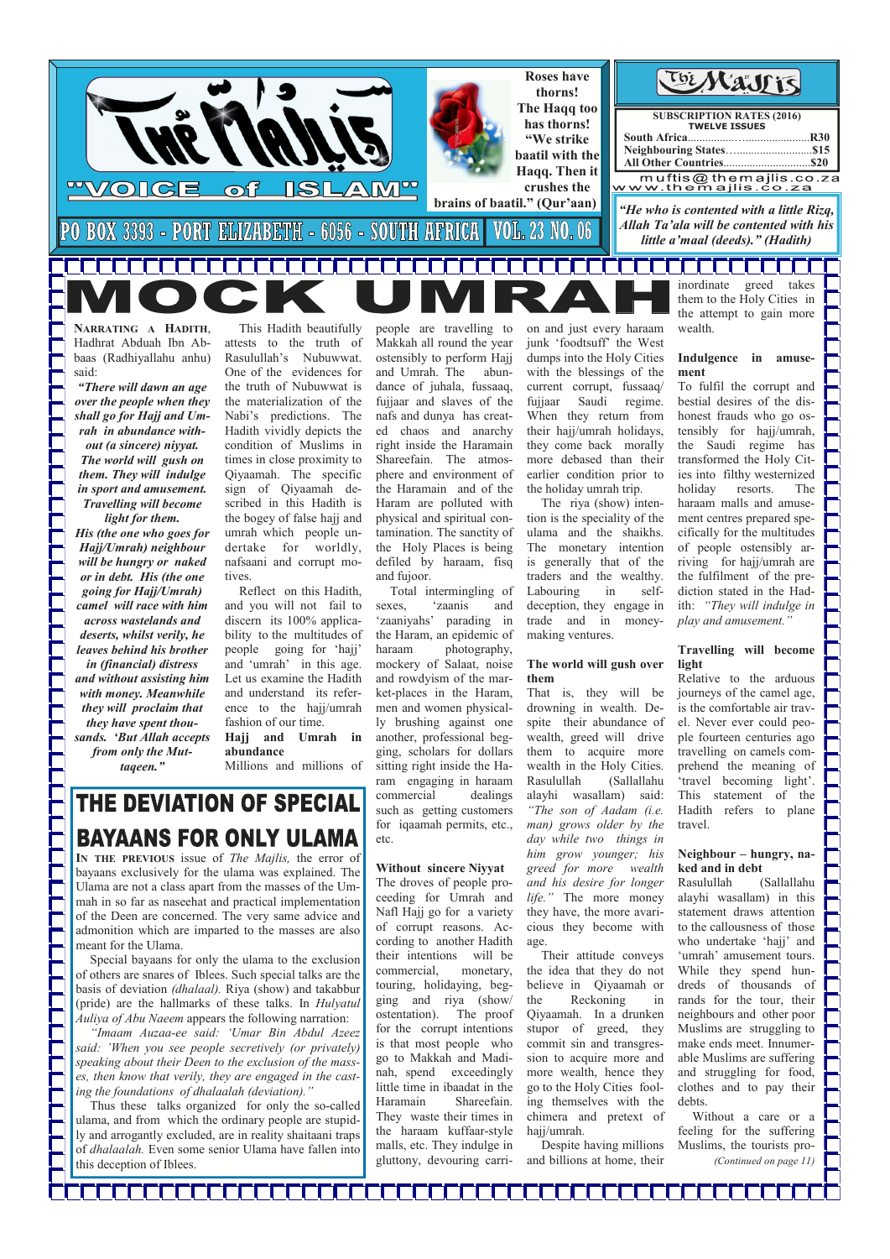**NARRATING A HADITH**, Hadhrat Abduah Ibn Abbaas (Radhiyallahu anhu) said:

*"There will dawn an age over the people when they shall go for Hajj and Umrah in abundance without (a sincere) niyyat. The world will gush on them. They will indulge in sport and amusement. Travelling will become light for them.* 

*His (the one who goes for Hajj/Umrah) neighbour will be hungry or naked or in debt. His (the one going for Hajj/Umrah) camel will race with him across wastelands and deserts, whilst verily, he leaves behind his brother in (financial) distress and without assisting him with money. Meanwhile they will proclaim that they have spent thousands. 'But Allah accepts from only the Muttaqeen."* 

This Hadith beautifully attests to the truth of Rasulullah's Nubuwwat. One of the evidences for the truth of Nubuwwat is the materialization of the Nabi's predictions. The Hadith vividly depicts the condition of Muslims in times in close proximity to Qiyaamah. The specific sign of Qiyaamah described in this Hadith is the bogey of false hajj and umrah which people undertake for worldly, nafsaani and corrupt motives.

 Reflect on this Hadith, and you will not fail to discern its 100% applicability to the multitudes of people going for 'hajj' and 'umrah' in this age. Let us examine the Hadith and understand its reference to the hajj/umrah fashion of our time. **Hajj and Umrah in** 

**abundance** 

Millions and millions of

# THE DEVIATION OF SPECIAL **BAYAANS FOR ONLY ULAMA**

people are travelling to Makkah all round the year ostensibly to perform Hajj and Umrah. The abundance of juhala, fussaaq, fujjaar and slaves of the nafs and dunya has created chaos and anarchy right inside the Haramain Shareefain. The atmosphere and environment of the Haramain and of the Haram are polluted with physical and spiritual contamination. The sanctity of the Holy Places is being defiled by haraam, fisq and fujoor.

 Total intermingling of sexes, 'zaanis and 'zaaniyahs' parading in the Haram, an epidemic of haraam photography, mockery of Salaat, noise and rowdyism of the market-places in the Haram, men and women physically brushing against one another, professional begging, scholars for dollars sitting right inside the Haram engaging in haraam commercial dealings such as getting customers for iqaamah permits, etc., etc.

### **Without sincere Niyyat**  The droves of people proceeding for Umrah and Nafl Hajj go for a variety of corrupt reasons. According to another Hadith

their intentions will be commercial, monetary, touring, holidaying, begging and riya (show/ ostentation). The proof for the corrupt intentions is that most people who go to Makkah and Madinah, spend exceedingly little time in ibaadat in the Haramain Shareefain. They waste their times in the haraam kuffaar-style malls, etc. They indulge in gluttony, devouring carri-

on and just every haraam junk 'foodtsuff' the West dumps into the Holy Cities with the blessings of the current corrupt, fussaaq/ fujjaar Saudi regime. When they return from their hajj/umrah holidays, they come back morally more debased than their earlier condition prior to the holiday umrah trip.

 The riya (show) intention is the speciality of the ulama and the shaikhs. The monetary intention is generally that of the traders and the wealthy. Labouring in selfdeception, they engage in trade and in moneymaking ventures.

#### **The world will gush over them**

That is, they will be drowning in wealth. Despite their abundance of wealth, greed will drive them to acquire more wealth in the Holy Cities. Rasulullah (Sallallahu alayhi wasallam) said: *"The son of Aadam (i.e. man) grows older by the day while two things in him grow younger; his greed for more wealth and his desire for longer life."* The more money they have, the more avaricious they become with age.

 Their attitude conveys the idea that they do not believe in Qiyaamah or the Reckoning in Qiyaamah. In a drunken stupor of greed, they commit sin and transgression to acquire more and more wealth, hence they go to the Holy Cities fooling themselves with the chimera and pretext of hajj/umrah.

 Despite having millions and billions at home, their

wealth.

#### **Indulgence in amusement**

To fulfil the corrupt and bestial desires of the dishonest frauds who go ostensibly for hajj/umrah, the Saudi regime has transformed the Holy Cities into filthy westernized holiday resorts. The haraam malls and amusement centres prepared specifically for the multitudes of people ostensibly arriving for hajj/umrah are the fulfilment of the prediction stated in the Hadith: *"They will indulge in play and amusement."* 

#### **Travelling will become light**

Relative to the arduous journeys of the camel age, is the comfortable air travel. Never ever could people fourteen centuries ago travelling on camels comprehend the meaning of 'travel becoming light'. This statement of the Hadith refers to plane travel.

### **Neighbour – hungry, naked and in debt**

Rasulullah (Sallallahu alayhi wasallam) in this statement draws attention to the callousness of those who undertake 'hajj' and

'umrah' amusement tours. While they spend hundreds of thousands of rands for the tour, their neighbours and other poor Muslims are struggling to make ends meet. Innumerable Muslims are suffering and struggling for food, clothes and to pay their debts.



 Without a care or a feeling for the suffering Muslims, the tourists pro- *(Continued on page 11)* 

**IN THE PREVIOUS** issue of *The Majlis,* the error of bayaans exclusively for the ulama was explained. The Ulama are not a class apart from the masses of the Ummah in so far as naseehat and practical implementation of the Deen are concerned. The very same advice and admonition which are imparted to the masses are also meant for the Ulama. Special bayaans for only the ulama to the exclusion of others are snares of Iblees. Such special talks are the basis of deviation *(dhalaal).* Riya (show) and takabbur (pride) are the hallmarks of these talks. In *Hulyatul Auliya of Abu Naeem* appears the following narration: *"Imaam Auzaa-ee said: 'Umar Bin Abdul Azeez said: 'When you see people secretively (or privately) speaking about their Deen to the exclusion of the masses, then know that verily, they are engaged in the casting the foundations of dhalaalah (deviation)."*  Thus these talks organized for only the so-called ulama, and from which the ordinary people are stupidly and arrogantly excluded, are in reality shaitaani traps of *dhalaalah.* Even some senior Ulama have fallen into this deception of Iblees.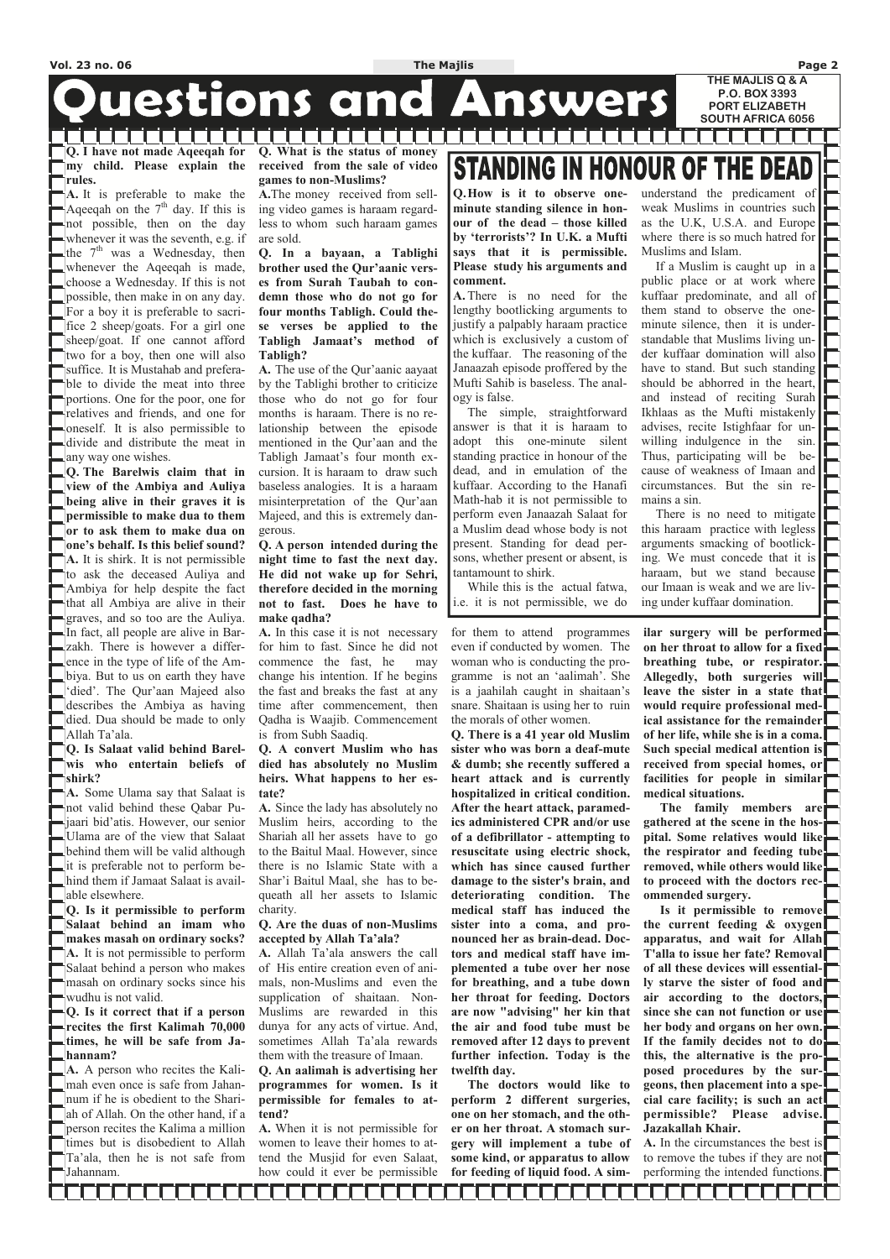**Q. I have not made Aqeeqah for my child. Please explain the rules.** 

**A.** It is preferable to make the Aqeeqah on the  $7<sup>th</sup>$  day. If this is not possible, then on the day whenever it was the seventh, e.g. if the  $7<sup>th</sup>$  was a Wednesday, then whenever the Aqeeqah is made, choose a Wednesday. If this is not possible, then make in on any day. For a boy it is preferable to sacrifice 2 sheep/goats. For a girl one sheep/goat. If one cannot afford two for a boy, then one will also suffice. It is Mustahab and preferable to divide the meat into three portions. One for the poor, one for relatives and friends, and one for oneself. It is also permissible to divide and distribute the meat in any way one wishes.

**Q. The Barelwis claim that in view of the Ambiya and Auliya being alive in their graves it is permissible to make dua to them or to ask them to make dua on one's behalf. Is this belief sound? A.** It is shirk. It is not permissible to ask the deceased Auliya and Ambiya for help despite the fact that all Ambiya are alive in their graves, and so too are the Auliya. In fact, all people are alive in Barzakh. There is however a difference in the type of life of the Ambiya. But to us on earth they have 'died'. The Qur'aan Majeed also describes the Ambiya as having died. Dua should be made to only Allah Ta'ala.

#### **Q. Is Salaat valid behind Barelwis who entertain beliefs of shirk?**

**A.** Some Ulama say that Salaat is not valid behind these Qabar Pujaari bid'atis. However, our senior Ulama are of the view that Salaat behind them will be valid although it is preferable not to perform behind them if Jamaat Salaat is available elsewhere.

**Q. Is it permissible to perform Salaat behind an imam who makes masah on ordinary socks? A.** It is not permissible to perform Salaat behind a person who makes masah on ordinary socks since his wudhu is not valid. **Q. Is it correct that if a person recites the first Kalimah 70,000 times, he will be safe from Jahannam? A.** A person who recites the Kalimah even once is safe from Jahannum if he is obedient to the Shariah of Allah. On the other hand, if a person recites the Kalima a million times but is disobedient to Allah Ta'ala, then he is not safe from Jahannam.

### **Q. What is the status of money received from the sale of video games to non-Muslims?**

la de la falcia de la propiedad de la propiedad de la propiedad de la propiedad de la propiedad de la propieda

duestions and Answers

**A.**The money received from selling video games is haraam regardless to whom such haraam games are sold.

**Q. In a bayaan, a Tablighi brother used the Qur'aanic verses from Surah Taubah to condemn those who do not go for four months Tabligh. Could these verses be applied to the Tabligh Jamaat's method of Tabligh?** 

**A.** The use of the Qur'aanic aayaat by the Tablighi brother to criticize those who do not go for four months is haraam. There is no relationship between the episode mentioned in the Qur'aan and the Tabligh Jamaat's four month excursion. It is haraam to draw such baseless analogies. It is a haraam misinterpretation of the Qur'aan Majeed, and this is extremely dangerous.

**Q. A person intended during the night time to fast the next day. He did not wake up for Sehri, therefore decided in the morning not to fast. Does he have to make qadha?** 

**A.** In this case it is not necessary for him to fast. Since he did not commence the fast, he may change his intention. If he begins the fast and breaks the fast at any time after commencement, then Qadha is Waajib. Commencement is from Subh Saadiq.

#### **Q. A convert Muslim who has died has absolutely no Muslim heirs. What happens to her estate?**

**A.** Since the lady has absolutely no Muslim heirs, according to the Shariah all her assets have to go to the Baitul Maal. However, since there is no Islamic State with a Shar'i Baitul Maal, she has to bequeath all her assets to Islamic charity.

**Q. Are the duas of non-Muslims accepted by Allah Ta'ala?** 

**STANDING IN HONOUR OF THE DEAD** 

**A.** Allah Ta'ala answers the call of His entire creation even of animals, non-Muslims and even the supplication of shaitaan. Non-Muslims are rewarded in this dunya for any acts of virtue. And, sometimes Allah Ta'ala rewards them with the treasure of Imaan. **Q. An aalimah is advertising her programmes for women. Is it permissible for females to at-**

**tend?** 

**A.** When it is not permissible for women to leave their homes to attend the Musjid for even Salaat, how could it ever be permissible

for them to attend programmes even if conducted by women. The woman who is conducting the programme is not an 'aalimah'. She is a jaahilah caught in shaitaan's snare. Shaitaan is using her to ruin the morals of other women.

**Q. There is a 41 year old Muslim sister who was born a deaf-mute & dumb; she recently suffered a heart attack and is currently hospitalized in critical condition. After the heart attack, paramedics administered CPR and/or use of a defibrillator - attempting to resuscitate using electric shock, which has since caused further damage to the sister's brain, and deteriorating condition. The medical staff has induced the sister into a coma, and pronounced her as brain-dead. Doctors and medical staff have implemented a tube over her nose for breathing, and a tube down her throat for feeding. Doctors are now "advising" her kin that the air and food tube must be removed after 12 days to prevent further infection. Today is the twelfth day. The doctors would like to perform 2 different surgeries, one on her stomach, and the other on her throat. A stomach surgery will implement a tube of some kind, or apparatus to allow for feeding of liquid food. A sim-** **ilar surgery will be performed on her throat to allow for a fixed breathing tube, or respirator. Allegedly, both surgeries will leave the sister in a state that would require professional medical assistance for the remainder of her life, while she is in a coma. Such special medical attention is received from special homes, or facilities for people in similar medical situations.** 

 **The family members are gathered at the scene in the hospital. Some relatives would like the respirator and feeding tube removed, while others would like to proceed with the doctors recommended surgery.** 

 **Is it permissible to remove the current feeding & oxygen apparatus, and wait for Allah T'alla to issue her fate? Removal of all these devices will essentially starve the sister of food and air according to the doctors,**  since she can not function or use **her body and organs on her own. If the family decides not to do this, the alternative is the proposed procedures by the surgeons, then placement into a special care facility; is such an act permissible? Please advise. Jazakallah Khair.** 

**A.** In the circumstances the best is to remove the tubes if they are not performing the intended functions.

**FIFIFIEITHE FIFIEITHE F** 

TELEL TELEL

**Q. How is it to observe oneminute standing silence in honour of the dead – those killed by 'terrorists'? In U.K. a Mufti says that it is permissible. Please study his arguments and comment.** 

**A.** There is no need for the lengthy bootlicking arguments to justify a palpably haraam practice which is exclusively a custom of the kuffaar. The reasoning of the Janaazah episode proffered by the Mufti Sahib is baseless. The analogy is false.

 The simple, straightforward answer is that it is haraam to adopt this one-minute silent standing practice in honour of the dead, and in emulation of the kuffaar. According to the Hanafi Math-hab it is not permissible to perform even Janaazah Salaat for a Muslim dead whose body is not present. Standing for dead persons, whether present or absent, is tantamount to shirk.

 While this is the actual fatwa, i.e. it is not permissible, we do understand the predicament of weak Muslims in countries such as the U.K, U.S.A. and Europe where there is so much hatred for Muslims and Islam.

 If a Muslim is caught up in a public place or at work where kuffaar predominate, and all of them stand to observe the oneminute silence, then it is understandable that Muslims living under kuffaar domination will also have to stand. But such standing should be abhorred in the heart, and instead of reciting Surah Ikhlaas as the Mufti mistakenly advises, recite Istighfaar for unwilling indulgence in the sin. Thus, participating will be because of weakness of Imaan and circumstances. But the sin remains a sin.

 There is no need to mitigate this haraam practice with legless arguments smacking of bootlicking. We must concede that it is haraam, but we stand because our Imaan is weak and we are living under kuffaar domination.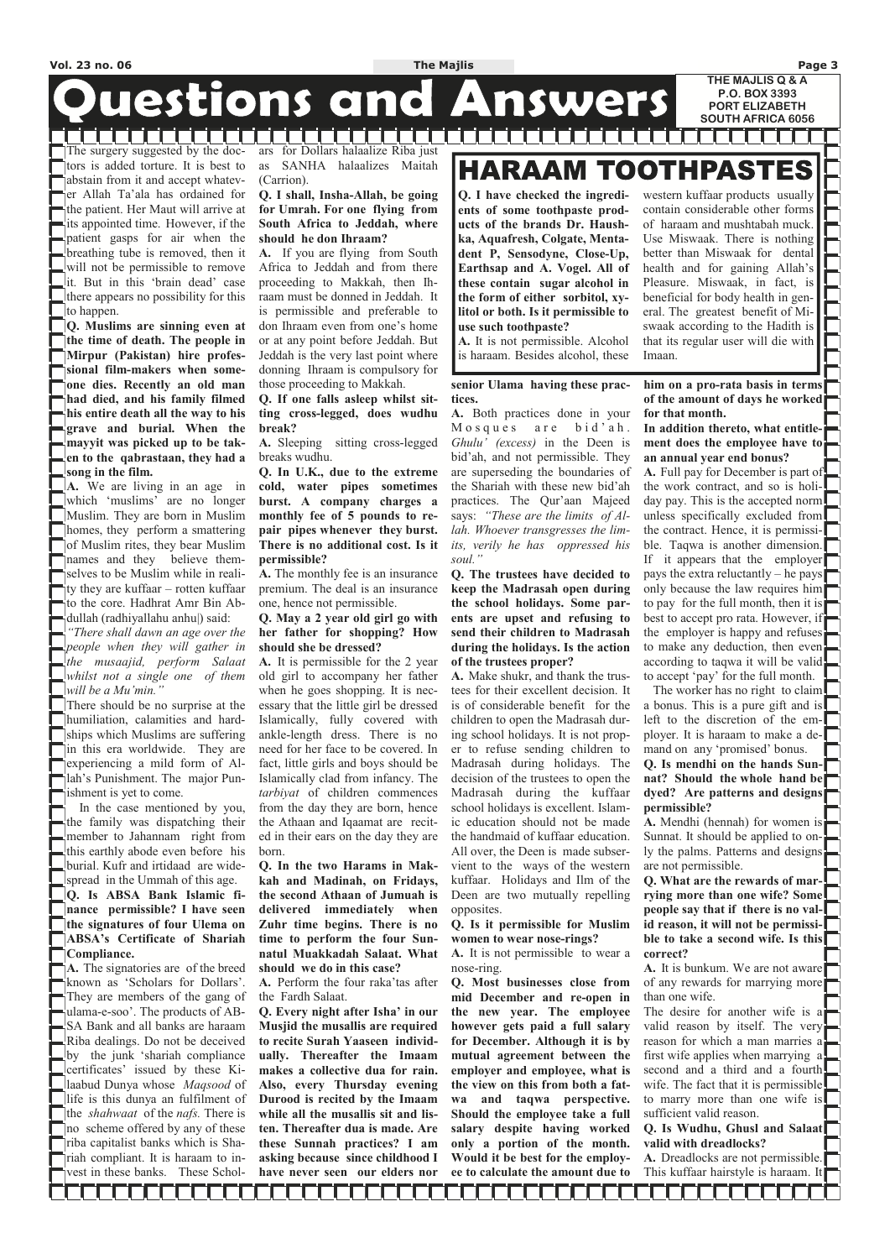The surgery suggested by the doctors is added torture. It is best to abstain from it and accept whatever Allah Ta'ala has ordained for the patient. Her Maut will arrive at its appointed time. However, if the patient gasps for air when the breathing tube is removed, then it will not be permissible to remove it. But in this 'brain dead' case there appears no possibility for this to happen.

. . . . . . . . . .

**Q. Muslims are sinning even at the time of death. The people in Mirpur (Pakistan) hire professional film-makers when someone dies. Recently an old man had died, and his family filmed his entire death all the way to his grave and burial. When the mayyit was picked up to be taken to the qabrastaan, they had a song in the film.** 

**A.** We are living in an age in which 'muslims' are no longer Muslim. They are born in Muslim homes, they perform a smattering of Muslim rites, they bear Muslim names and they believe themselves to be Muslim while in reality they are kuffaar – rotten kuffaar to the core. Hadhrat Amr Bin Abdullah (radhiyallahu anhu|) said:

*"There shall dawn an age over the people when they will gather in the musaajid, perform Salaat whilst not a single one of them will be a Mu'min."* 

There should be no surprise at the humiliation, calamities and hardships which Muslims are suffering in this era worldwide. They are experiencing a mild form of Allah's Punishment. The major Punishment is yet to come.

 In the case mentioned by you, the family was dispatching their member to Jahannam right from this earthly abode even before his burial. Kufr and irtidaad are widespread in the Ummah of this age. **Q. Is ABSA Bank Islamic finance permissible? I have seen the signatures of four Ulema on ABSA's Certificate of Shariah Compliance. A.** The signatories are of the breed known as 'Scholars for Dollars'. They are members of the gang of ulama-e-soo'. The products of AB-SA Bank and all banks are haraam Riba dealings. Do not be deceived by the junk 'shariah compliance certificates' issued by these Kilaabud Dunya whose *Maqsood* of life is this dunya an fulfilment of the *shahwaat* of the *nafs.* There is no scheme offered by any of these riba capitalist banks which is Shariah compliant. It is haraam to invest in these banks. These Schol-

ars for Dollars halaalize Riba just as SANHA halaalizes Maitah (Carrion).

#### **Q. I shall, Insha-Allah, be going for Umrah. For one flying from South Africa to Jeddah, where should he don Ihraam?**

**A.** If you are flying from South Africa to Jeddah and from there proceeding to Makkah, then Ihraam must be donned in Jeddah. It is permissible and preferable to don Ihraam even from one's home or at any point before Jeddah. But Jeddah is the very last point where donning Ihraam is compulsory for those proceeding to Makkah.

**Q. If one falls asleep whilst sitting cross-legged, does wudhu break?** 

**A.** Sleeping sitting cross-legged breaks wudhu.

**Q. In U.K., due to the extreme cold, water pipes sometimes burst. A company charges a monthly fee of 5 pounds to repair pipes whenever they burst. There is no additional cost. Is it permissible?** 

**A.** The monthly fee is an insurance premium. The deal is an insurance one, hence not permissible.

**Q. May a 2 year old girl go with her father for shopping? How should she be dressed?** 

**A.** It is permissible for the 2 year old girl to accompany her father when he goes shopping. It is necessary that the little girl be dressed Islamically, fully covered with ankle-length dress. There is no need for her face to be covered. In fact, little girls and boys should be Islamically clad from infancy. The *tarbiyat* of children commences from the day they are born, hence the Athaan and Iqaamat are recited in their ears on the day they are born.

**Q. In the two Harams in Makkah and Madinah, on Fridays, the second Athaan of Jumuah is delivered immediately when Zuhr time begins. There is no time to perform the four Sunnatul Muakkadah Salaat. What should we do in this case?** 

## TOOTHPASTES HARAAM

A. Dreadlocks are not permissible. This kuffaar hairstyle is haraam. It

**FITTITITITI** 

**A.** Perform the four raka'tas after the Fardh Salaat.

**Q. Every night after Isha' in our Musjid the musallis are required to recite Surah Yaaseen individually. Thereafter the Imaam makes a collective dua for rain. Also, every Thursday evening Durood is recited by the Imaam while all the musallis sit and listen. Thereafter dua is made. Are these Sunnah practices? I am asking because since childhood I have never seen our elders nor** 

#### **senior Ulama having these practices.**

**A.** Both practices done in your Mosques are bid'ah. *Ghulu' (excess)* in the Deen is bid'ah, and not permissible. They are superseding the boundaries of the Shariah with these new bid'ah practices. The Qur'aan Majeed says: *"These are the limits of Allah. Whoever transgresses the limits, verily he has oppressed his soul."* 

**Q. The trustees have decided to keep the Madrasah open during the school holidays. Some parents are upset and refusing to send their children to Madrasah during the holidays. Is the action of the trustees proper?** 

**A.** Make shukr, and thank the trustees for their excellent decision. It is of considerable benefit for the children to open the Madrasah during school holidays. It is not proper to refuse sending children to Madrasah during holidays. The decision of the trustees to open the Madrasah during the kuffaar school holidays is excellent. Islamic education should not be made the handmaid of kuffaar education. All over, the Deen is made subservient to the ways of the western kuffaar. Holidays and Ilm of the Deen are two mutually repelling opposites.

**Q. Is it permissible for Muslim women to wear nose-rings?** 

**A.** It is not permissible to wear a nose-ring.

**Q. Most businesses close from mid December and re-open in the new year. The employee however gets paid a full salary for December. Although it is by mutual agreement between the employer and employee, what is the view on this from both a fatwa and taqwa perspective. Should the employee take a full salary despite having worked only a portion of the month. Would it be best for the employee to calculate the amount due to** 

**him on a pro-rata basis in terms of the amount of days he worked for that month.** 

**In addition thereto, what entitlement does the employee have to an annual year end bonus?** 

**A.** Full pay for December is part of the work contract, and so is holiday pay. This is the accepted norm unless specifically excluded from the contract. Hence, it is permissible. Taqwa is another dimension. If it appears that the employer pays the extra reluctantly – he pays only because the law requires him to pay for the full month, then it is best to accept pro rata. However, if the employer is happy and refuses to make any deduction, then even according to taqwa it will be valid to accept 'pay' for the full month.

 The worker has no right to claim a bonus. This is a pure gift and is left to the discretion of the employer. It is haraam to make a demand on any 'promised' bonus. **Q. Is mendhi on the hands Sun-**

## **nat? Should the whole hand be dyed? Are patterns and designs permissible?**

**A.** Mendhi (hennah) for women is Sunnat. It should be applied to only the palms. Patterns and designs are not permissible.

**Q. What are the rewards of marrying more than one wife? Some people say that if there is no valid reason, it will not be permissible to take a second wife. Is this correct?**  A. It is bunkum. We are not aware of any rewards for marrying more than one wife. The desire for another wife is a valid reason by itself. The very reason for which a man marries a first wife applies when marrying a second and a third and a fourth wife. The fact that it is permissible to marry more than one wife is sufficient valid reason.

**Q. Is Wudhu, Ghusl and Salaat valid with dreadlocks?** 

**Q. I have checked the ingredients of some toothpaste products of the brands Dr. Haushka, Aquafresh, Colgate, Mentadent P, Sensodyne, Close-Up, Earthsap and A. Vogel. All of these contain sugar alcohol in the form of either sorbitol, xylitol or both. Is it permissible to use such toothpaste?** 

**A.** It is not permissible. Alcohol is haraam. Besides alcohol, these

western kuffaar products usually contain considerable other forms of haraam and mushtabah muck. Use Miswaak. There is nothing better than Miswaak for dental health and for gaining Allah's Pleasure. Miswaak, in fact, is beneficial for body health in general. The greatest benefit of Miswaak according to the Hadith is that its regular user will die with Imaan.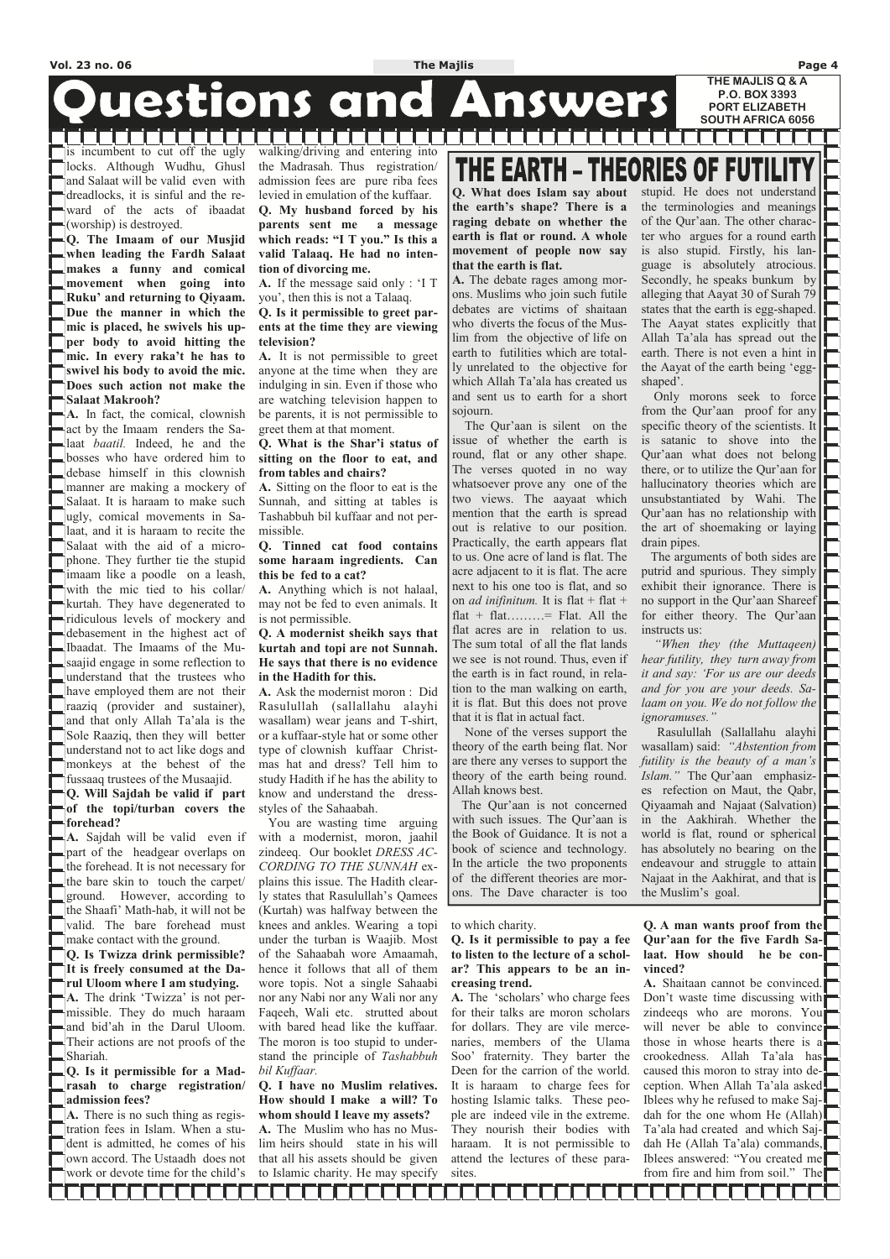# **Questions and Answers**

is incumbent to cut off the ugly locks. Although Wudhu, Ghusl and Salaat will be valid even with dreadlocks, it is sinful and the reward of the acts of ibaadat (worship) is destroyed.

**Q. The Imaam of our Musjid when leading the Fardh Salaat makes a funny and comical movement when going into Ruku' and returning to Qiyaam. Due the manner in which the mic is placed, he swivels his upper body to avoid hitting the mic. In every raka't he has to swivel his body to avoid the mic. Does such action not make the Salaat Makrooh?** 

**A.** In fact, the comical, clownish act by the Imaam renders the Salaat *baatil.* Indeed, he and the bosses who have ordered him to debase himself in this clownish manner are making a mockery of Salaat. It is haraam to make such ugly, comical movements in Salaat, and it is haraam to recite the Salaat with the aid of a microphone. They further tie the stupid imaam like a poodle on a leash, with the mic tied to his collar/ kurtah. They have degenerated to ridiculous levels of mockery and debasement in the highest act of Ibaadat. The Imaams of the Musaajid engage in some reflection to understand that the trustees who have employed them are not their raaziq (provider and sustainer), and that only Allah Ta'ala is the Sole Raaziq, then they will better understand not to act like dogs and monkeys at the behest of the fussaaq trustees of the Musaajid. **Q. Will Sajdah be valid if part** 

**of the topi/turban covers the forehead?** 

**A.** Sajdah will be valid even if part of the headgear overlaps on the forehead. It is not necessary for the bare skin to touch the carpet/ ground. However, according to the Shaafi' Math-hab, it will not be valid. The bare forehead must make contact with the ground. **Q. Is Twizza drink permissible? It is freely consumed at the Darul Uloom where I am studying. A.** The drink 'Twizza' is not permissible. They do much haraam and bid'ah in the Darul Uloom. Their actions are not proofs of the Shariah. **Q. Is it permissible for a Madrasah to charge registration/ admission fees? A.** There is no such thing as registration fees in Islam. When a student is admitted, he comes of his own accord. The Ustaadh does not work or devote time for the child's

,,,,,,,,,,,,,

walking/driving and entering into the Madrasah. Thus registration/ admission fees are pure riba fees levied in emulation of the kuffaar.

n din din din bin

**Q. My husband forced by his parents sent me a message which reads: "I T you." Is this a valid Talaaq. He had no intention of divorcing me.** 

**A.** If the message said only : 'I T you', then this is not a Talaaq.

**Q. Is it permissible to greet parents at the time they are viewing television?** 

**A.** It is not permissible to greet anyone at the time when they are indulging in sin. Even if those who are watching television happen to be parents, it is not permissible to greet them at that moment.

**ORIES OF FUTIL** THE EARTH **Q. What does Islam say about the earth's shape? There is a raging debate on whether the earth is flat or round. A whole movement of people now say that the earth is flat.** 

#### **Q. What is the Shar'i status of sitting on the floor to eat, and from tables and chairs?**

**A.** Sitting on the floor to eat is the Sunnah, and sitting at tables is Tashabbuh bil kuffaar and not permissible.

#### **Q. Tinned cat food contains some haraam ingredients. Can this be fed to a cat?**

**A.** Anything which is not halaal, may not be fed to even animals. It is not permissible.

#### **Q. A modernist sheikh says that kurtah and topi are not Sunnah. He says that there is no evidence in the Hadith for this.**

**A.** Ask the modernist moron : Did Rasulullah (sallallahu alayhi wasallam) wear jeans and T-shirt, or a kuffaar-style hat or some other type of clownish kuffaar Christmas hat and dress? Tell him to study Hadith if he has the ability to know and understand the dressstyles of the Sahaabah.

 You are wasting time arguing with a modernist, moron, jaahil zindeeq. Our booklet *DRESS AC-CORDING TO THE SUNNAH* explains this issue. The Hadith clearly states that Rasulullah's Qamees (Kurtah) was halfway between the knees and ankles. Wearing a topi under the turban is Waajib. Most of the Sahaabah wore Amaamah, hence it follows that all of them wore topis. Not a single Sahaabi nor any Nabi nor any Wali nor any Faqeeh, Wali etc. strutted about with bared head like the kuffaar. The moron is too stupid to understand the principle of *Tashabbuh bil Kuffaar.* **Q. I have no Muslim relatives. How should I make a will? To whom should I leave my assets? A.** The Muslim who has no Muslim heirs should state in his will that all his assets should be given to Islamic charity. He may specify

i di di di di di di di sensi di sensi di sensi di sensi di sensi di sensi di sensi di sensi di sensi di sensi

to which charity.

**Q. Is it permissible to pay a fee** 

**to listen to the lecture of a scholar? This appears to be an increasing trend.** 

**A.** The 'scholars' who charge fees for their talks are moron scholars for dollars. They are vile mercenaries, members of the Ulama Soo' fraternity. They barter the Deen for the carrion of the world. It is haraam to charge fees for hosting Islamic talks. These people are indeed vile in the extreme. They nourish their bodies with haraam. It is not permissible to attend the lectures of these parasites.

**Q. A man wants proof from the Qur'aan for the five Fardh Sa-**

**laat. How should he be convinced?** 

**A.** Shaitaan cannot be convinced. Don't waste time discussing with zindeeqs who are morons. You will never be able to convince those in whose hearts there is a crookedness. Allah Ta'ala has caused this moron to stray into deception. When Allah Ta'ala asked Iblees why he refused to make Sajdah for the one whom He  $(Allah)$ Ta'ala had created and which Sajdah He (Allah Ta'ala) commands, Iblees answered: "You created me from fire and him from soil." The

**A.** The debate rages among morons. Muslims who join such futile debates are victims of shaitaan who diverts the focus of the Muslim from the objective of life on earth to futilities which are totally unrelated to the objective for which Allah Ta'ala has created us and sent us to earth for a short sojourn.

 The Qur'aan is silent on the issue of whether the earth is round, flat or any other shape. The verses quoted in no way whatsoever prove any one of the two views. The aayaat which mention that the earth is spread out is relative to our position. Practically, the earth appears flat to us. One acre of land is flat. The acre adjacent to it is flat. The acre next to his one too is flat, and so on *ad inifinitum.* It is flat + flat + flat + flat.........= Flat. All the flat acres are in relation to us. The sum total of all the flat lands we see is not round. Thus, even if the earth is in fact round, in relation to the man walking on earth, it is flat. But this does not prove that it is flat in actual fact.

 None of the verses support the theory of the earth being flat. Nor are there any verses to support the theory of the earth being round. Allah knows best.

 The Qur'aan is not concerned with such issues. The Qur'aan is the Book of Guidance. It is not a book of science and technology. In the article the two proponents of the different theories are morons. The Dave character is too stupid. He does not understand the terminologies and meanings of the Qur'aan. The other character who argues for a round earth is also stupid. Firstly, his language is absolutely atrocious. Secondly, he speaks bunkum by alleging that Aayat 30 of Surah 79 states that the earth is egg-shaped. The Aayat states explicitly that Allah Ta'ala has spread out the earth. There is not even a hint in the Aayat of the earth being 'eggshaped'.

 Only morons seek to force from the Qur'aan proof for any specific theory of the scientists. It is satanic to shove into the Qur'aan what does not belong there, or to utilize the Qur'aan for hallucinatory theories which are unsubstantiated by Wahi. The Qur'aan has no relationship with the art of shoemaking or laying drain pipes.

 The arguments of both sides are putrid and spurious. They simply exhibit their ignorance. There is no support in the Qur'aan Shareef for either theory. The Qur'aan instructs us:

 *"When they (the Muttaqeen) hear futility, they turn away from it and say: 'For us are our deeds and for you are your deeds. Salaam on you. We do not follow the ignoramuses."* 

Rasulullah (Sallallahu alayhi wasallam) said: *"Abstention from futility is the beauty of a man's Islam."* The Qur'aan emphasizes refection on Maut, the Qabr, Qiyaamah and Najaat (Salvation) in the Aakhirah. Whether the world is flat, round or spherical has absolutely no bearing on the endeavour and struggle to attain Najaat in the Aakhirat, and that is the Muslim's goal.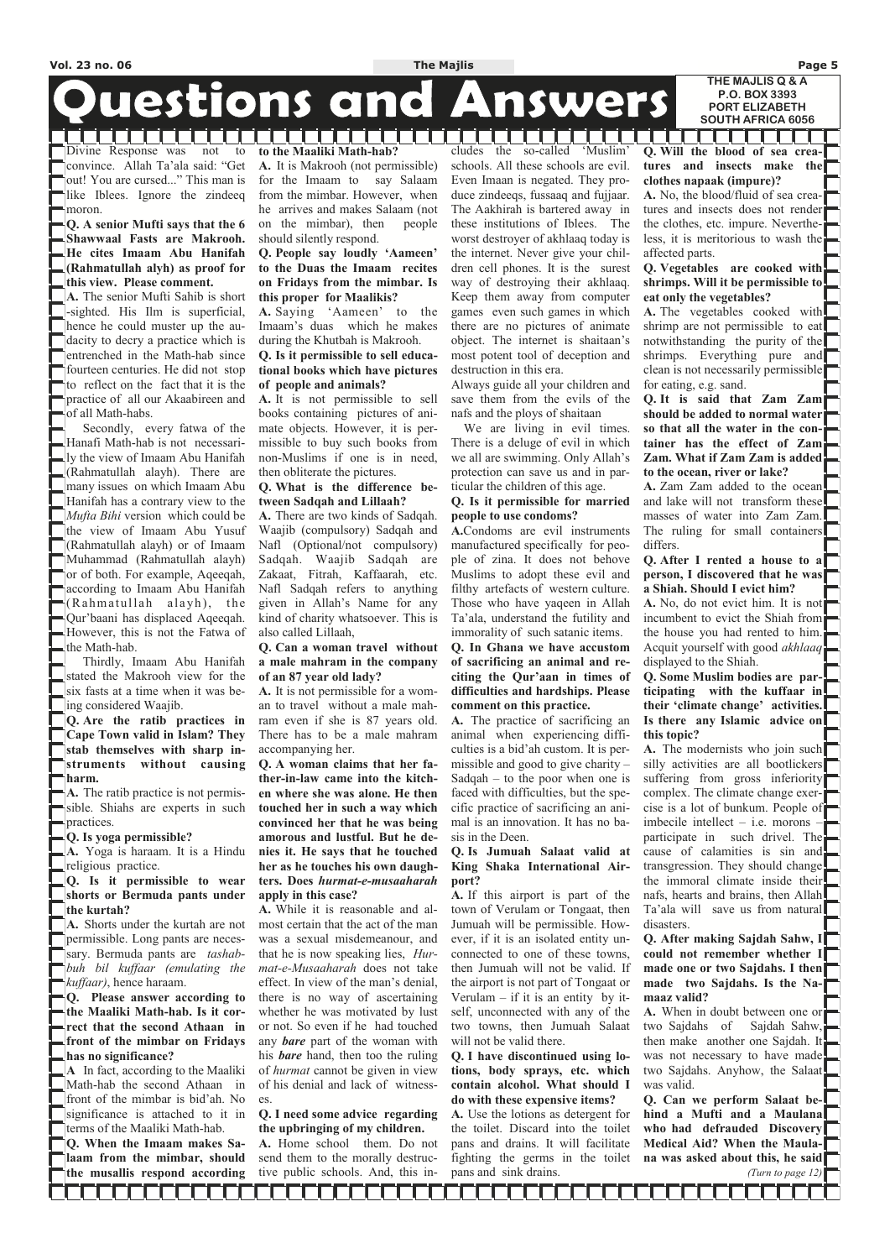# **Duestions and Answers**

Divine Response was not to convince. Allah Ta'ala said: "Get out! You are cursed..." This man is like Iblees. Ignore the zindeeq moron.

**Q. A senior Mufti says that the 6 Shawwaal Fasts are Makrooh. He cites Imaam Abu Hanifah (Rahmatullah alyh) as proof for this view. Please comment.** 

**A.** The senior Mufti Sahib is short -sighted. His Ilm is superficial, hence he could muster up the audacity to decry a practice which is entrenched in the Math-hab since fourteen centuries. He did not stop to reflect on the fact that it is the practice of all our Akaabireen and of all Math-habs.

**A.** Shorts under the kurtah are not permissible. Long pants are necessary. Bermuda pants are *tashabbuh bil kuffaar (emulating the kuffaar)*, hence haraam. **Q. Please answer according to the Maaliki Math-hab. Is it correct that the second Athaan in front of the mimbar on Fridays has no significance? A** In fact, according to the Maaliki Math-hab the second Athaan in front of the mimbar is bid'ah. No significance is attached to it in

 Secondly, every fatwa of the Hanafi Math-hab is not necessarily the view of Imaam Abu Hanifah (Rahmatullah alayh). There are many issues on which Imaam Abu Hanifah has a contrary view to the *Mufta Bihi* version which could be the view of Imaam Abu Yusuf (Rahmatullah alayh) or of Imaam Muhammad (Rahmatullah alayh) or of both. For example, Aqeeqah, according to Imaam Abu Hanifah  $(Rahmatullah = alayh)$ , the Qur'baani has displaced Aqeeqah. However, this is not the Fatwa of the Math-hab.

 Thirdly, Imaam Abu Hanifah stated the Makrooh view for the six fasts at a time when it was being considered Waajib.

**Q. Are the ratib practices in Cape Town valid in Islam? They stab themselves with sharp instruments without causing harm.** 

**A.** The ratib practice is not permissible. Shiahs are experts in such practices.

#### **Q. Is yoga permissible?**

**A.** Yoga is haraam. It is a Hindu religious practice.

**Q. Is it permissible to wear shorts or Bermuda pants under the kurtah?** 

terms of the Maaliki Math-hab. **Q. When the Imaam makes Salaam from the mimbar, should the musallis respond according**  **to the Maaliki Math-hab? A.** It is Makrooh (not permissible) for the Imaam to say Salaam from the mimbar. However, when he arrives and makes Salaam (not on the mimbar), then people should silently respond.

. . . . . . . . .

#### **Q. People say loudly 'Aameen' to the Duas the Imaam recites on Fridays from the mimbar. Is this proper for Maalikis?**

**A.** Saying 'Aameen' to the Imaam's duas which he makes during the Khutbah is Makrooh.

> We are living in evil times. There is a deluge of evil in which we all are swimming. Only Allah's protection can save us and in particular the children of this age.

#### **Q. Is it permissible to sell educational books which have pictures of people and animals?**

**A.** It is not permissible to sell books containing pictures of animate objects. However, it is permissible to buy such books from non-Muslims if one is in need, then obliterate the pictures.

#### **Q. What is the difference between Sadqah and Lillaah?**

**A.** There are two kinds of Sadqah. Waajib (compulsory) Sadqah and Nafl (Optional/not compulsory) Sadqah. Waajib Sadqah are Zakaat, Fitrah, Kaffaarah, etc. Nafl Sadqah refers to anything given in Allah's Name for any kind of charity whatsoever. This is also called Lillaah,

#### **Q. Can a woman travel without a male mahram in the company of an 87 year old lady?**

**A.** It is not permissible for a woman to travel without a male mahram even if she is 87 years old. There has to be a male mahram accompanying her.

**Q. A woman claims that her father-in-law came into the kitchen where she was alone. He then touched her in such a way which convinced her that he was being amorous and lustful. But he denies it. He says that he touched her as he touches his own daughters. Does** *hurmat-e-musaaharah*  **apply in this case?** 

**A.** While it is reasonable and almost certain that the act of the man was a sexual misdemeanour, and that he is now speaking lies, *Hurmat-e-Musaaharah* does not take effect. In view of the man's denial, there is no way of ascertaining whether he was motivated by lust or not. So even if he had touched any *bare* part of the woman with his *bare* hand, then too the ruling of *hurmat* cannot be given in view of his denial and lack of witnesses.

A. The modernists who join such silly activities are all bootlickers suffering from gross inferiority complex. The climate change exercise is a lot of bunkum. People of imbecile intellect – i.e. morons – participate in such drivel. The cause of calamities is sin and transgression. They should change the immoral climate inside their nafs, hearts and brains, then Allah Ta'ala will save us from natural disasters.

**Q. I need some advice regarding the upbringing of my children. A.** Home school them. Do not send them to the morally destructive public schools. And, this includes the so-called 'Muslim' schools. All these schools are evil. Even Imaan is negated. They produce zindeeqs, fussaaq and fujjaar. The Aakhirah is bartered away in these institutions of Iblees. The worst destroyer of akhlaaq today is the internet. Never give your children cell phones. It is the surest way of destroying their akhlaaq. Keep them away from computer games even such games in which there are no pictures of animate object. The internet is shaitaan's most potent tool of deception and destruction in this era.

Always guide all your children and save them from the evils of the nafs and the ploys of shaitaan

#### **Q. Is it permissible for married people to use condoms?**

**A.**Condoms are evil instruments manufactured specifically for people of zina. It does not behove Muslims to adopt these evil and filthy artefacts of western culture. Those who have yaqeen in Allah Ta'ala, understand the futility and immorality of such satanic items.

**Q. In Ghana we have accustom of sacrificing an animal and reciting the Qur'aan in times of difficulties and hardships. Please comment on this practice.** 

**A.** The practice of sacrificing an animal when experiencing difficulties is a bid'ah custom. It is permissible and good to give charity – Sadqah – to the poor when one is faced with difficulties, but the specific practice of sacrificing an animal is an innovation. It has no basis in the Deen.

#### **Q. Is Jumuah Salaat valid at King Shaka International Airport?**

**A.** If this airport is part of the town of Verulam or Tongaat, then Jumuah will be permissible. However, if it is an isolated entity unconnected to one of these towns, then Jumuah will not be valid. If the airport is not part of Tongaat or Verulam  $-$  if it is an entity by itself, unconnected with any of the two towns, then Jumuah Salaat will not be valid there. **Q. I have discontinued using lotions, body sprays, etc. which contain alcohol. What should I do with these expensive items? A.** Use the lotions as detergent for the toilet. Discard into the toilet pans and drains. It will facilitate fighting the germs in the toilet

pans and sink drains.

**Q. Will the blood of sea creatures and insects make the clothes napaak (impure)? A.** No, the blood/fluid of sea creatures and insects does not render

the clothes, etc. impure. Nevertheless, it is meritorious to wash the affected parts. **Q. Vegetables are cooked with** 

## **shrimps. Will it be permissible to eat only the vegetables?**

**A.** The vegetables cooked with shrimp are not permissible to eat notwithstanding the purity of the shrimps. Everything pure and clean is not necessarily permissible for eating, e.g. sand.

**Q. It is said that Zam Zam should be added to normal water so that all the water in the container has the effect of Zam Zam. What if Zam Zam is added to the ocean, river or lake?** 

**A.** Zam Zam added to the ocean and lake will not transform these masses of water into Zam Zam. The ruling for small containers differs.

#### **Q. After I rented a house to a person, I discovered that he was a Shiah. Should I evict him?**

**A.** No, do not evict him. It is not incumbent to evict the Shiah from the house you had rented to him. Acquit yourself with good *akhlaaq* displayed to the Shiah.

**Q. Some Muslim bodies are participating with the kuffaar in their 'climate change' activities. Is there any Islamic advice on this topic?** 

**Q. After making Sajdah Sahw, I**  could not remember whether I **made one or two Sajdahs. I then made two Sajdahs. Is the Namaaz valid?** 

**A.** When in doubt between one or two Sajdahs of Sajdah Sahw, then make another one Sajdah. It was not necessary to have made two Sajdahs. Anyhow, the Salaat was valid.

**Q. Can we perform Salaat behind a Mufti and a Maulana who had defrauded Discovery Medical Aid? When the Maulana was asked about this, he said**  *(Turn to page 12)*

. . . . .

**THE MAJLIS Q & A** 

**P.O. BOX 3393 PORT ELIZABETH SOUTH AFRICA 6056**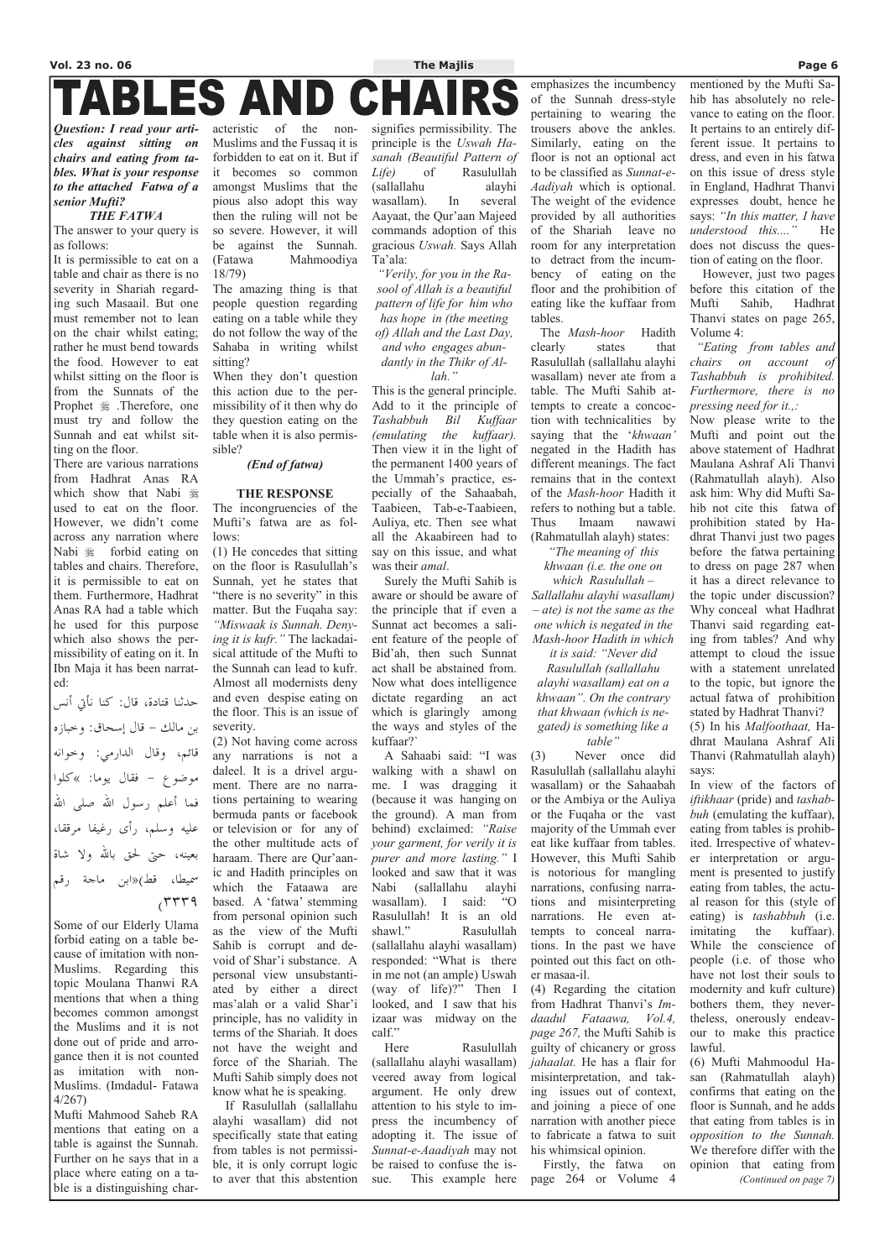## ES AND I В

*Question: I read your articles against sitting on chairs and eating from tables. What is your response to the attached Fatwa of a senior Mufti?* 

#### *THE FATWA*

The answer to your query is as follows:

It is permissible to eat on a table and chair as there is no severity in Shariah regarding such Masaail. But one must remember not to lean on the chair whilst eating; rather he must bend towards the food. However to eat whilst sitting on the floor is from the Sunnats of the Prophet  $\frac{1}{2}$ . Therefore, one must try and follow the Sunnah and eat whilst sitting on the floor.

حدثنا قتادة، قال: كنا نأتي أنس بن مالك - قال إسحاق: وخبازه قائم، وقال الدارمي: وخوانه موضوع - فقال يوما: »كلوا فما أعلم رسول االله صلى االله عليه وسلم، رأى رغيفا مرققا، بعينه، حتى لحق بالله ولا شاة سميطا، قط )«ابن ماجة رقم  $(TTT)$ 

There are various narrations from Hadhrat Anas RA which show that Nabi used to eat on the floor. However, we didn't come across any narration where Nabi  $\frac{1}{20}$  forbid eating on tables and chairs. Therefore, it is permissible to eat on them. Furthermore, Hadhrat Anas RA had a table which he used for this purpose which also shows the permissibility of eating on it. In Ibn Maja it has been narrated:

Some of our Elderly Ulama forbid eating on a table because of imitation with non-Muslims. Regarding this topic Moulana Thanwi RA mentions that when a thing becomes common amongst the Muslims and it is not done out of pride and arrogance then it is not counted as imitation with non-Muslims. (Imdadul- Fatawa 4/267) Mufti Mahmood Saheb RA mentions that eating on a table is against the Sunnah. Further on he says that in a place where eating on a table is a distinguishing characteristic of the non-Muslims and the Fussaq it is forbidden to eat on it. But if it becomes so common amongst Muslims that the pious also adopt this way then the ruling will not be so severe. However, it will be against the Sunnah. (Fatawa Mahmoodiya 18/79)

The amazing thing is that people question regarding eating on a table while they do not follow the way of the Sahaba in writing whilst sitting?

When they don't question this action due to the permissibility of it then why do they question eating on the table when it is also permissible?

#### *(End of fatwa)*

#### **THE RESPONSE**

The incongruencies of the Mufti's fatwa are as follows:

(1) He concedes that sitting on the floor is Rasulullah's Sunnah, yet he states that "there is no severity" in this matter. But the Fuqaha say: *"Miswaak is Sunnah. Denying it is kufr."* The lackadaisical attitude of the Mufti to the Sunnah can lead to kufr. Almost all modernists deny and even despise eating on the floor. This is an issue of severity.

(2) Not having come across any narrations is not a daleel. It is a drivel argument. There are no narrations pertaining to wearing bermuda pants or facebook or television or for any of the other multitude acts of haraam. There are Qur'aanic and Hadith principles on which the Fataawa are based. A 'fatwa' stemming from personal opinion such as the view of the Mufti Sahib is corrupt and devoid of Shar'i substance. A personal view unsubstantiated by either a direct mas'alah or a valid Shar'i principle, has no validity in terms of the Shariah. It does not have the weight and force of the Shariah. The Mufti Sahib simply does not know what he is speaking. If Rasulullah (sallallahu alayhi wasallam) did not specifically state that eating from tables is not permissible, it is only corrupt logic to aver that this abstention

signifies permissibility. The principle is the *Uswah Hasanah (Beautiful Pattern of Life)* of Rasulullah (sallallahu alayhi wasallam). In several Aayaat, the Qur'aan Majeed commands adoption of this gracious *Uswah.* Says Allah Ta'ala:

*"Verily, for you in the Rasool of Allah is a beautiful pattern of life for him who has hope in (the meeting of) Allah and the Last Day, and who engages abundantly in the Thikr of Allah."* 

This is the general principle. Add to it the principle of *Tashabbuh Bil Kuffaar (emulating the kuffaar).*  Then view it in the light of the permanent 1400 years of the Ummah's practice, especially of the Sahaabah, Taabieen, Tab-e-Taabieen, Auliya, etc. Then see what all the Akaabireen had to say on this issue, and what was their *amal*.

 Surely the Mufti Sahib is aware or should be aware of the principle that if even a Sunnat act becomes a salient feature of the people of Bid'ah, then such Sunnat act shall be abstained from. Now what does intelligence dictate regarding an act which is glaringly among the ways and styles of the kuffaar?`

 A Sahaabi said: "I was walking with a shawl on me. I was dragging it (because it was hanging on the ground). A man from behind) exclaimed: *"Raise your garment, for verily it is purer and more lasting."* I looked and saw that it was Nabi (sallallahu alayhi wasallam). I said: "O Rasulullah! It is an old shawl." Rasulullah (sallallahu alayhi wasallam) responded: "What is there in me not (an ample) Uswah (way of life)?" Then I looked, and I saw that his izaar was midway on the calf." Here Rasulullah (sallallahu alayhi wasallam) veered away from logical argument. He only drew attention to his style to impress the incumbency of adopting it. The issue of *Sunnat-e-Aaadiyah* may not be raised to confuse the issue. This example here

### emphasizes the incumbency of the Sunnah dress-style pertaining to wearing the trousers above the ankles. Similarly, eating on the floor is not an optional act to be classified as *Sunnat-e-Aadiyah* which is optional. The weight of the evidence provided by all authorities of the Shariah leave no room for any interpretation to detract from the incumbency of eating on the floor and the prohibition of eating like the kuffaar from tables.

 The *Mash-hoor* Hadith clearly states that Rasulullah (sallallahu alayhi wasallam) never ate from a table. The Mufti Sahib attempts to create a concoction with technicalities by saying that the '*khwaan'*  negated in the Hadith has different meanings. The fact remains that in the context of the *Mash-hoor* Hadith it refers to nothing but a table. Thus Imaam nawawi (Rahmatullah alayh) states:

*"The meaning of this khwaan (i.e. the one on* 

*which Rasulullah – Sallallahu alayhi wasallam) – ate) is not the same as the one which is negated in the Mash-hoor Hadith in which* 

*it is said: "Never did Rasulullah (sallallahu alayhi wasallam) eat on a khwaan". On the contrary that khwaan (which is negated) is something like a table"* 

(3) Never once did Rasulullah (sallallahu alayhi wasallam) or the Sahaabah or the Ambiya or the Auliya or the Fuqaha or the vast majority of the Ummah ever eat like kuffaar from tables. However, this Mufti Sahib is notorious for mangling narrations, confusing narrations and misinterpreting narrations. He even attempts to conceal narrations. In the past we have

pointed out this fact on other masaa-il.

(4) Regarding the citation from Hadhrat Thanvi's *Imdaadul Fataawa, Vol.4, page 267,* the Mufti Sahib is guilty of chicanery or gross *jahaalat.* He has a flair for misinterpretation, and taking issues out of context, and joining a piece of one narration with another piece to fabricate a fatwa to suit his whimsical opinion. Firstly, the fatwa on page 264 or Volume 4

### mentioned by the Mufti Sahib has absolutely no relevance to eating on the floor. It pertains to an entirely different issue. It pertains to dress, and even in his fatwa on this issue of dress style in England, Hadhrat Thanvi expresses doubt, hence he says: *"In this matter, I have understood this...."* He does not discuss the question of eating on the floor.

 However, just two pages before this citation of the Mufti Sahib, Hadhrat Thanvi states on page 265, Volume 4:

 *"Eating from tables and chairs on account of Tashabbuh is prohibited. Furthermore, there is no pressing need for it.,:* 

Now please write to the Mufti and point out the above statement of Hadhrat Maulana Ashraf Ali Thanvi (Rahmatullah alayh). Also ask him: Why did Mufti Sahib not cite this fatwa of prohibition stated by Hadhrat Thanvi just two pages before the fatwa pertaining to dress on page 287 when it has a direct relevance to the topic under discussion? Why conceal what Hadhrat Thanvi said regarding eating from tables? And why attempt to cloud the issue with a statement unrelated to the topic, but ignore the actual fatwa of prohibition stated by Hadhrat Thanvi? (5) In his *Malfoothaat,* Ha-

dhrat Maulana Ashraf Ali Thanvi (Rahmatullah alayh) says:

In view of the factors of *iftikhaar* (pride) and *tashabbuh* (emulating the kuffaar), eating from tables is prohibited. Irrespective of whatever interpretation or argument is presented to justify eating from tables, the actual reason for this (style of eating) is *tashabbuh* (i.e. imitating the kuffaar). While the conscience of people (i.e. of those who have not lost their souls to modernity and kufr culture) bothers them, they nevertheless, onerously endeavour to make this practice lawful. (6) Mufti Mahmoodul Hasan (Rahmatullah alayh) confirms that eating on the floor is Sunnah, and he adds that eating from tables is in *opposition to the Sunnah.* We therefore differ with the opinion that eating from *(Continued on page 7)*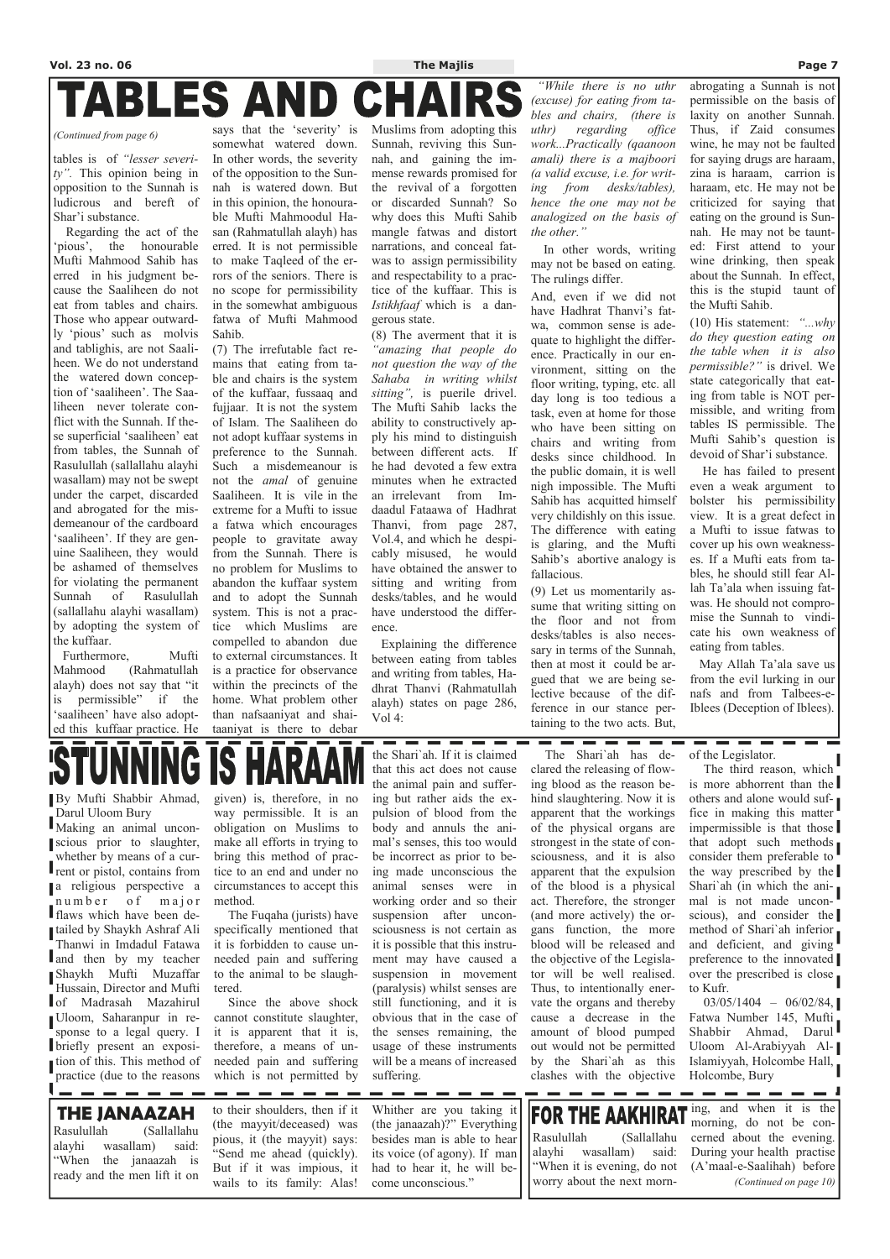# TABLES AND

tables is of *"lesser severity".* This opinion being in opposition to the Sunnah is ludicrous and bereft of Shar'i substance.

 Regarding the act of the 'pious', the honourable Mufti Mahmood Sahib has erred in his judgment because the Saaliheen do not eat from tables and chairs. Those who appear outwardly 'pious' such as molvis and tablighis, are not Saaliheen. We do not understand the watered down conception of 'saaliheen'. The Saaliheen never tolerate conflict with the Sunnah. If these superficial 'saaliheen' eat from tables, the Sunnah of Rasulullah (sallallahu alayhi wasallam) may not be swept under the carpet, discarded and abrogated for the misdemeanour of the cardboard 'saaliheen'. If they are genuine Saaliheen, they would be ashamed of themselves for violating the permanent Sunnah of Rasulullah (sallallahu alayhi wasallam) by adopting the system of the kuffaar.

 Furthermore, Mufti Mahmood (Rahmatullah alayh) does not say that "it is permissible" if the 'saaliheen' have also adopted this kuffaar practice. He

says that the 'severity' is somewhat watered down. In other words, the severity of the opposition to the Sunnah is watered down. But in this opinion, the honourable Mufti Mahmoodul Hasan (Rahmatullah alayh) has erred. It is not permissible to make Taqleed of the errors of the seniors. There is no scope for permissibility in the somewhat ambiguous fatwa of Mufti Mahmood Sahib.

In other words, writing may not be based on eating. The rulings differ.

(7) The irrefutable fact remains that eating from table and chairs is the system of the kuffaar, fussaaq and fujjaar. It is not the system of Islam. The Saaliheen do not adopt kuffaar systems in preference to the Sunnah. Such a misdemeanour is not the *amal* of genuine Saaliheen. It is vile in the extreme for a Mufti to issue a fatwa which encourages people to gravitate away from the Sunnah. There is no problem for Muslims to abandon the kuffaar system and to adopt the Sunnah system. This is not a practice which Muslims are compelled to abandon due to external circumstances. It is a practice for observance within the precincts of the home. What problem other than nafsaaniyat and shaitaaniyat is there to debar

Muslims from adopting this Sunnah, reviving this Sunnah, and gaining the immense rewards promised for the revival of a forgotten or discarded Sunnah? So why does this Mufti Sahib mangle fatwas and distort narrations, and conceal fatwas to assign permissibility and respectability to a practice of the kuffaar. This is *Istikhfaaf* which is a dangerous state.

(8) The averment that it is *"amazing that people do not question the way of the Sahaba in writing whilst sitting",* is puerile drivel. The Mufti Sahib lacks the ability to constructively apply his mind to distinguish between different acts. If he had devoted a few extra minutes when he extracted an irrelevant from Imdaadul Fataawa of Hadhrat Thanvi, from page 287, Vol.4, and which he despicably misused, he would have obtained the answer to sitting and writing from desks/tables, and he would have understood the difference.

 Explaining the difference between eating from tables and writing from tables, Hadhrat Thanvi (Rahmatullah alayh) states on page 286, Vol 4:

\_\_\_\_\_\_

 *"While there is no uthr (excuse) for eating from tables and chairs, (there is uthr) regarding office work...Practically (qaanoon amali) there is a majboori (a valid excuse, i.e. for writing from desks/tables), hence the one may not be analogized on the basis of the other."* 

And, even if we did not have Hadhrat Thanvi's fatwa, common sense is adequate to highlight the difference. Practically in our environment, sitting on the floor writing, typing, etc. all day long is too tedious a task, even at home for those who have been sitting on chairs and writing from desks since childhood. In the public domain, it is well nigh impossible. The Mufti Sahib has acquitted himself very childishly on this issue. The difference with eating is glaring, and the Mufti Sahib's abortive analogy is fallacious.

(9) Let us momentarily assume that writing sitting on the floor and not from desks/tables is also necessary in terms of the Sunnah, then at most it could be argued that we are being selective because of the difference in our stance pertaining to the two acts. But,

----

abrogating a Sunnah is not

permissible on the basis of laxity on another Sunnah. Thus, if Zaid consumes wine, he may not be faulted for saying drugs are haraam, zina is haraam, carrion is haraam, etc. He may not be criticized for saying that eating on the ground is Sunnah. He may not be taunted: First attend to your wine drinking, then speak about the Sunnah. In effect, this is the stupid taunt of

the Mufti Sahib.

(10) His statement: *"...why do they question eating on the table when it is also permissible?"* is drivel. We state categorically that eating from table is NOT permissible, and writing from tables IS permissible. The Mufti Sahib's question is devoid of Shar'i substance.

 He has failed to present even a weak argument to bolster his permissibility view. It is a great defect in a Mufti to issue fatwas to cover up his own weaknesses. If a Mufti eats from tables, he should still fear Allah Ta'ala when issuing fatwas. He should not compromise the Sunnah to vindicate his own weakness of eating from tables.

 May Allah Ta'ala save us from the evil lurking in our nafs and from Talbees-e-Iblees (Deception of Iblees).

#### *(Continued from page 6)*

By Mufti Shabbir Ahmad, Darul Uloom Bury

Making an animal unconscious prior to slaughter, whether by means of a current or pistol, contains from a religious perspective a number of major flaws which have been detailed by Shaykh Ashraf Ali Thanwi in Imdadul Fatawa  $\blacksquare$ and then by my teacher Shaykh Mufti Muzaffar Hussain, Director and Mufti of Madrasah Mazahirul Uloom, Saharanpur in response to a legal query. I briefly present an exposition of this. This method of practice (due to the reasons given) is, therefore, in no way permissible. It is an obligation on Muslims to make all efforts in trying to bring this method of practice to an end and under no circumstances to accept this method.

 The Fuqaha (jurists) have specifically mentioned that it is forbidden to cause unneeded pain and suffering to the animal to be slaughtered. Since the above shock cannot constitute slaughter, it is apparent that it is, therefore, a means of unneeded pain and suffering which is not permitted by

the Shari`ah. If it is claimed that this act does not cause the animal pain and suffering but rather aids the expulsion of blood from the body and annuls the animal's senses, this too would be incorrect as prior to being made unconscious the animal senses were in working order and so their suspension after unconsciousness is not certain as it is possible that this instru-

ment may have caused a suspension in movement (paralysis) whilst senses are still functioning, and it is obvious that in the case of the senses remaining, the usage of these instruments will be a means of increased suffering.

 The Shari`ah has declared the releasing of flowing blood as the reason behind slaughtering. Now it is apparent that the workings of the physical organs are strongest in the state of consciousness, and it is also apparent that the expulsion of the blood is a physical act. Therefore, the stronger (and more actively) the organs function, the more blood will be released and the objective of the Legislator will be well realised. Thus, to intentionally enervate the organs and thereby cause a decrease in the amount of blood pumped out would not be permitted by the Shari`ah as this clashes with the objective

of the Legislator.

 The third reason, which is more abhorrent than the others and alone would suffice in making this matter impermissible is that those that adopt such methods consider them preferable to the way prescribed by the Shari`ah (in which the animal is not made unconscious), and consider the method of Shari`ah inferior and deficient, and giving preference to the innovated over the prescribed is close to Kufr.  $03/05/1404 - 06/02/84$ , Fatwa Number 145, Mufti Shabbir Ahmad, Darul Uloom Al-Arabiyyah Al-Islamiyyah, Holcombe Hall, Holcombe, Bury

**THE JANAAZAH**  Rasulullah (Sallallahu alayhi wasallam) said: "When the janaazah is ready and the men lift it on

--------

to their shoulders, then if it (the mayyit/deceased) was pious, it (the mayyit) says: "Send me ahead (quickly). But if it was impious, it wails to its family: Alas!

----

**Contract Contract** 

Whither are you taking it (the janaazah)?" Everything besides man is able to hear its voice (of agony). If man had to hear it, he will become unconscious."

\_\_\_\_

ing, and when it is the **FOR THE AAKH** Rasulullah (Sallallahu alayhi wasallam) said: "When it is evening, do not worry about the next morn-

morning, do not be concerned about the evening. During your health practise (A'maal-e-Saalihah) before *(Continued on page 10)* 

**Contract Contract** 

H.

- - -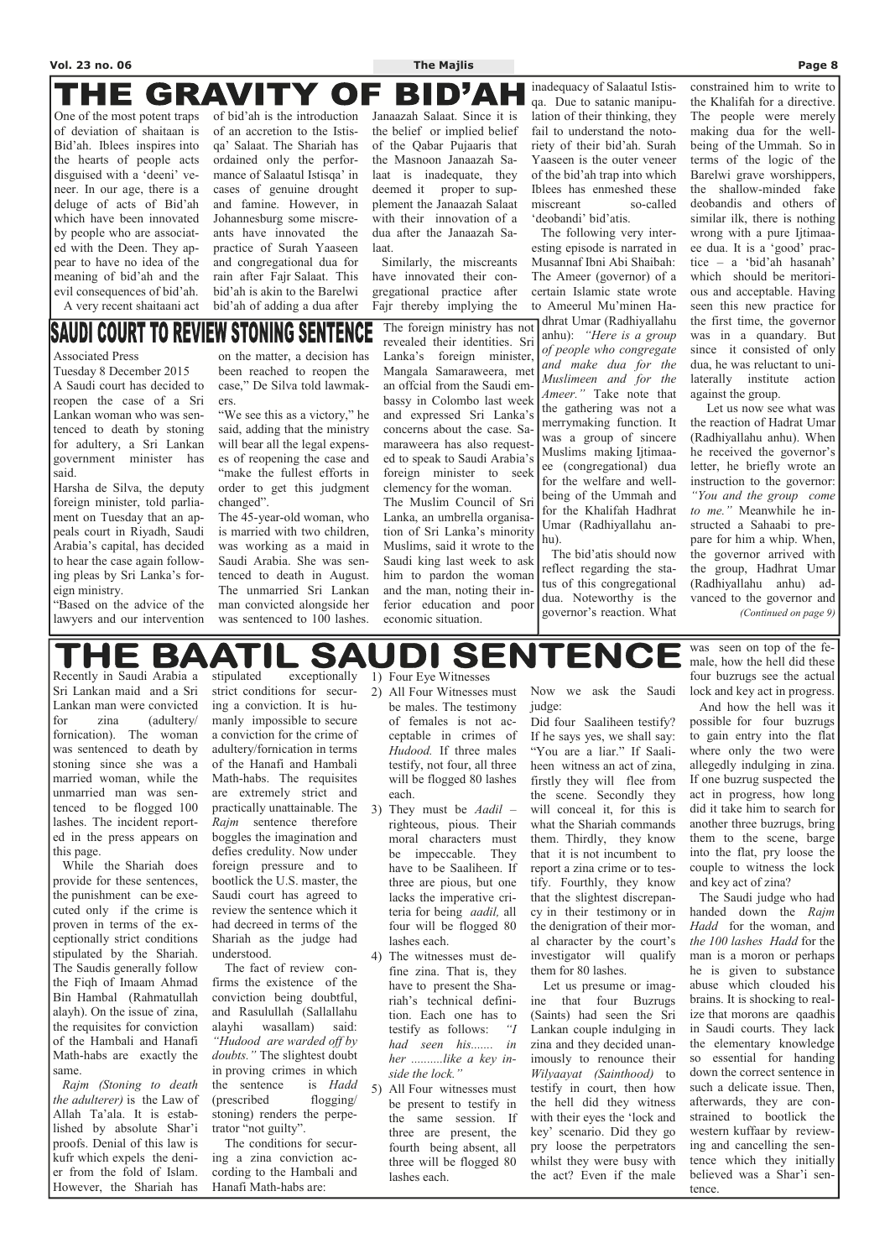#### THE **GRAVITY OF** BID'A

One of the most potent traps of deviation of shaitaan is Bid'ah. Iblees inspires into the hearts of people acts disguised with a 'deeni' veneer. In our age, there is a deluge of acts of Bid'ah which have been innovated by people who are associated with the Deen. They appear to have no idea of the meaning of bid'ah and the evil consequences of bid'ah.

A very recent shaitaani act

#### **STONING SENTENCE Saudi Court to Review**

of bid'ah is the introduction of an accretion to the Istisqa' Salaat. The Shariah has ordained only the performance of Salaatul Istisqa' in cases of genuine drought and famine. However, in Johannesburg some miscreants have innovated the practice of Surah Yaaseen and congregational dua for rain after Fajr Salaat. This bid'ah is akin to the Barelwi bid'ah of adding a dua after

Janaazah Salaat. Since it is the belief or implied belief of the Qabar Pujaaris that the Masnoon Janaazah Salaat is inadequate, they deemed it proper to supplement the Janaazah Salaat with their innovation of a dua after the Janaazah Salaat.

 Similarly, the miscreants have innovated their congregational practice after Fajr thereby implying the inadequacy of Salaatul Istisqa. Due to satanic manipulation of their thinking, they fail to understand the notoriety of their bid'ah. Surah Yaaseen is the outer veneer of the bid'ah trap into which Iblees has enmeshed these miscreant so-called 'deobandi' bid'atis.

 The following very interesting episode is narrated in Musannaf Ibni Abi Shaibah: The Ameer (governor) of a certain Islamic state wrote to Ameerul Mu'minen Hadhrat Umar (Radhiyallahu anhu): *"Here is a group of people who congregate and make dua for the Muslimeen and for the Ameer."* Take note that the gathering was not a merrymaking function. It was a group of sincere Muslims making Ijtimaaee (congregational) dua for the welfare and wellbeing of the Ummah and for the Khalifah Hadhrat Umar (Radhiyallahu anhu).

 The bid'atis should now reflect regarding the status of this congregational dua. Noteworthy is the governor's reaction. What

constrained him to write to the Khalifah for a directive. The people were merely making dua for the wellbeing of the Ummah. So in terms of the logic of the Barelwi grave worshippers, the shallow-minded fake deobandis and others of similar ilk, there is nothing wrong with a pure Ijtimaaee dua. It is a 'good' practice – a 'bid'ah hasanah' which should be meritorious and acceptable. Having seen this new practice for the first time, the governor was in a quandary. But since it consisted of only dua, he was reluctant to unilaterally institute action against the group.

The witnesses must define zina. That is, they have to present the Shariah's technical definition. Each one has to testify as follows: *"I had seen his....... in her ..........like a key inside the lock."*  5) All Four witnesses must be present to testify in the same session. If three are present, the fourth being absent, all

 Let us now see what was the reaction of Hadrat Umar (Radhiyallahu anhu). When he received the governor's letter, he briefly wrote an instruction to the governor: *"You and the group come to me."* Meanwhile he instructed a Sahaabi to prepare for him a whip. When, the governor arrived with the group, Hadhrat Umar (Radhiyallahu anhu) advanced to the governor and *(Continued on page 9)* 

Recently in Saudi Arabia a Sri Lankan maid and a Sri Lankan man were convicted for zina (adultery/ fornication). The woman was sentenced to death by stoning since she was a married woman, while the unmarried man was sentenced to be flogged 100 lashes. The incident reported in the press appears on this page.

 While the Shariah does provide for these sentences, the punishment can be executed only if the crime is proven in terms of the exceptionally strict conditions stipulated by the Shariah. The Saudis generally follow the Fiqh of Imaam Ahmad Bin Hambal (Rahmatullah alayh). On the issue of zina, the requisites for conviction of the Hambali and Hanafi Math-habs are exactly the same. *Rajm (Stoning to death the adulterer)* is the Law of Allah Ta'ala. It is established by absolute Shar'i proofs. Denial of this law is kufr which expels the denier from the fold of Islam. However, the Shariah has

stipulated exceptionally strict conditions for securing a conviction. It is humanly impossible to secure a conviction for the crime of adultery/fornication in terms of the Hanafi and Hambali Math-habs. The requisites are extremely strict and practically unattainable. The *Rajm* sentence therefore boggles the imagination and defies credulity. Now under foreign pressure and to bootlick the U.S. master, the Saudi court has agreed to review the sentence which it had decreed in terms of the Shariah as the judge had

understood.

 The fact of review confirms the existence of the conviction being doubtful, and Rasulullah (Sallallahu alayhi wasallam) said: *"Hudood are warded off by doubts."* The slightest doubt in proving crimes in which the sentence is *Hadd* (prescribed flogging/ stoning) renders the perpetrator "not guilty". The conditions for secur-

ing a zina conviction according to the Hambali and Hanafi Math-habs are:

1) Four Eye Witnesses

- 2) All Four Witnesses must be males. The testimony of females is not acceptable in crimes of *Hudood.* If three males testify, not four, all three will be flogged 80 lashes each.
- 3) They must be *Aadil*  righteous, pious. Their moral characters must be impeccable. They have to be Saaliheen. If three are pious, but one lacks the imperative criteria for being *aadil,* all four will be flogged 80 lashes each.

three will be flogged 80

lashes each.

Now we ask the Saudi judge:

Did four Saaliheen testify? If he says yes, we shall say: "You are a liar." If Saaliheen witness an act of zina, firstly they will flee from the scene. Secondly they will conceal it, for this is what the Shariah commands them. Thirdly, they know that it is not incumbent to report a zina crime or to testify. Fourthly, they know that the slightest discrepancy in their testimony or in the denigration of their moral character by the court's

investigator will qualify

them for 80 lashes.

 Let us presume or imagine that four Buzrugs

(Saints) had seen the Sri Lankan couple indulging in zina and they decided unanimously to renounce their

*Wilyaayat (Sainthood)* to testify in court, then how the hell did they witness with their eyes the 'lock and key' scenario. Did they go pry loose the perpetrators whilst they were busy with the act? Even if the male was seen on top of the female, how the hell did these four buzrugs see the actual lock and key act in progress.

 And how the hell was it possible for four buzrugs to gain entry into the flat where only the two were allegedly indulging in zina. If one buzrug suspected the act in progress, how long did it take him to search for another three buzrugs, bring them to the scene, barge into the flat, pry loose the couple to witness the lock and key act of zina?

 The Saudi judge who had handed down the *Rajm Hadd* for the woman, and *the 100 lashes Hadd* for the man is a moron or perhaps he is given to substance abuse which clouded his brains. It is shocking to realize that morons are qaadhis in Saudi courts. They lack the elementary knowledge so essential for handing down the correct sentence in such a delicate issue. Then, afterwards, they are constrained to bootlick the western kuffaar by reviewing and cancelling the sentence which they initially believed was a Shar'i sentence.

#### Associated Press

Tuesday 8 December 2015 A Saudi court has decided to reopen the case of a Sri Lankan woman who was sentenced to death by stoning for adultery, a Sri Lankan government minister has said.

Harsha de Silva, the deputy foreign minister, told parliament on Tuesday that an appeals court in Riyadh, Saudi Arabia's capital, has decided to hear the case again following pleas by Sri Lanka's foreign ministry.

"Based on the advice of the lawyers and our intervention

on the matter, a decision has been reached to reopen the case," De Silva told lawmakers.

"We see this as a victory," he said, adding that the ministry will bear all the legal expenses of reopening the case and "make the fullest efforts in order to get this judgment changed".

The 45-year-old woman, who is married with two children, was working as a maid in Saudi Arabia. She was sentenced to death in August. The unmarried Sri Lankan man convicted alongside her was sentenced to 100 lashes.

The foreign ministry has not revealed their identities. Sri Lanka's foreign minister,

Mangala Samaraweera, met an offcial from the Saudi embassy in Colombo last week and expressed Sri Lanka's concerns about the case. Samaraweera has also requested to speak to Saudi Arabia's foreign minister to seek clemency for the woman. The Muslim Council of Sri Lanka, an umbrella organisation of Sri Lanka's minority Muslims, said it wrote to the Saudi king last week to ask him to pardon the woman and the man, noting their inferior education and poor economic situation.

**SENTENCE** SA DI THE BA ATI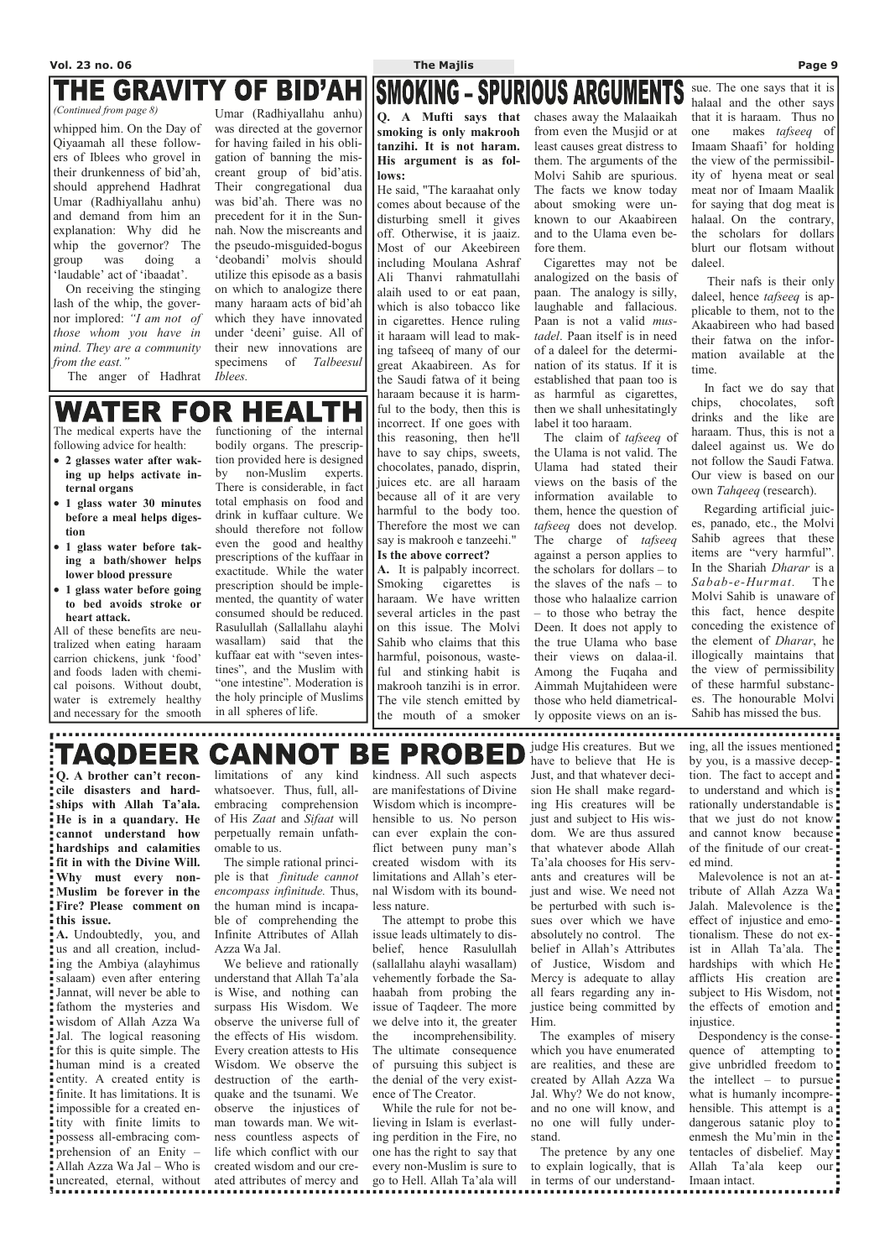# THE GRAVITY OF BID'AH

**Q. A brother can't reconcile disasters and hardships with Allah Ta'ala. He is in a quandary. He cannot understand how hardships and calamities fit in with the Divine Will. Why must every non-Muslim** be forever in the **Fire? Please comment on this issue.** 

**A.** Undoubtedly, you, and us and all creation, includ-Azza Wa Jal. ing the Ambiya (alayhimus salaam) even after entering Jannat, will never be able to fathom the mysteries and wisdom of Allah Azza Wa Jal. The logical reasoning for this is quite simple. The human mind is a created entity. A created entity is finite. It has limitations. It is impossible for a created entity with finite limits to possess all-embracing comprehension of an Enity – Allah Azza Wa Jal – Who is uncreated, eternal, without

limitations of any kind whatsoever. Thus, full, allembracing comprehension of His *Zaat* and *Sifaat* will perpetually remain unfathomable to us.

 The simple rational principle is that *finitude cannot encompass infinitude.* Thus, the human mind is incapable of comprehending the Infinite Attributes of Allah

 We believe and rationally understand that Allah Ta'ala is Wise, and nothing can surpass His Wisdom. We observe the universe full of the effects of His wisdom. Every creation attests to His Wisdom. We observe the destruction of the earthquake and the tsunami. We observe the injustices of man towards man. We witness countless aspects of life which conflict with our created wisdom and our created attributes of mercy and

kindness. All such aspects are manifestations of Divine Wisdom which is incomprehensible to us. No person can ever explain the conflict between puny man's created wisdom with its limitations and Allah's eternal Wisdom with its boundless nature.

 The attempt to probe this issue leads ultimately to disbelief, hence Rasulullah

Malevolence is not an attribute of Allah Azza Wa Jalah. Malevolence is the effect of injustice and emotionalism. These do not exist in Allah Ta'ala. The hardships with which He. afflicts His creation are subject to His Wisdom, not the effects of emotion and: injustice. Despondency is the consequence of attempting to give unbridled freedom to the intellect – to pursue what is humanly incomprehensible. This attempt is a. dangerous satanic ploy to: enmesh the Mu'min in the tentacles of disbelief. May Allah Ta'ala keep our Imaan intact.

(sallallahu alayhi wasallam) vehemently forbade the Sahaabah from probing the issue of Taqdeer. The more we delve into it, the greater the incomprehensibility. The ultimate consequence of pursuing this subject is the denial of the very existence of The Creator. While the rule for not be-

lieving in Islam is everlasting perdition in the Fire, no one has the right to say that every non-Muslim is sure to go to Hell. Allah Ta'ala will

judge His creatures. But we have to believe that He is Just, and that whatever decision He shall make regarding His creatures will be just and subject to His wisdom. We are thus assured that whatever abode Allah Ta'ala chooses for His servants and creatures will be just and wise. We need not be perturbed with such issues over which we have absolutely no control. The belief in Allah's Attributes of Justice, Wisdom and Mercy is adequate to allay all fears regarding any injustice being committed by Him. The examples of misery which you have enumerated are realities, and these are created by Allah Azza Wa Jal. Why? We do not know, and no one will know, and no one will fully understand.

**SMOKING - SPURIOUS ARGUMENTS Q. A Mufti says that smoking is only makrooh tanzihi. It is not haram. His argument is as follows:** 

> The pretence by any one to explain logically, that is in terms of our understand-

ing, all the issues mentioned by you, is a massive deception. The fact to accept and to understand and which is rationally understandable is. that we just do not know and cannot know because. of the finitude of our created mind.

whipped him. On the Day of Qiyaamah all these followers of Iblees who grovel in their drunkenness of bid'ah, should apprehend Hadhrat Umar (Radhiyallahu anhu) and demand from him an explanation: Why did he whip the governor? The group was doing a 'laudable' act of 'ibaadat'.

 On receiving the stinging lash of the whip, the governor implored: *"I am not of those whom you have in mind. They are a community from the east."* 

The anger of Hadhrat

Umar (Radhiyallahu anhu) was directed at the governor for having failed in his obligation of banning the miscreant group of bid'atis. Their congregational dua was bid'ah. There was no precedent for it in the Sunnah. Now the miscreants and the pseudo-misguided-bogus 'deobandi' molvis should utilize this episode as a basis on which to analogize there many haraam acts of bid'ah which they have innovated under 'deeni' guise. All of their new innovations are specimens of *Talbeesul Iblees.*

*(Continued from page 8)* 

The medical experts have the following advice for health:

- **2 glasses water after waking up helps activate internal organs**
- **1 glass water 30 minutes before a meal helps digestion**
- **1 glass water before taking a bath/shower helps lower blood pressure**
- **1 glass water before going to bed avoids stroke or heart attack.**

All of these benefits are neutralized when eating haraam carrion chickens, junk 'food' and foods laden with chemical poisons. Without doubt, water is extremely healthy and necessary for the smooth functioning of the internal bodily organs. The prescrip-

#### **CANNOT** :TAQDEER BE **PROBED**

tion provided here is designed by non-Muslim experts. There is considerable, in fact total emphasis on food and drink in kuffaar culture. We should therefore not follow even the good and healthy prescriptions of the kuffaar in exactitude. While the water prescription should be implemented, the quantity of water consumed should be reduced. Rasulullah (Sallallahu alayhi wasallam) said that the kuffaar eat with "seven intestines", and the Muslim with "one intestine". Moderation is the holy principle of Muslims in all spheres of life.

He said, "The karaahat only comes about because of the disturbing smell it gives off. Otherwise, it is jaaiz. Most of our Akeebireen including Moulana Ashraf Ali Thanvi rahmatullahi alaih used to or eat paan, which is also tobacco like in cigarettes. Hence ruling it haraam will lead to making tafseeq of many of our great Akaabireen. As for the Saudi fatwa of it being haraam because it is harmful to the body, then this is incorrect. If one goes with this reasoning, then he'll have to say chips, sweets, chocolates, panado, disprin, juices etc. are all haraam because all of it are very harmful to the body too. Therefore the most we can say is makrooh e tanzeehi." **Is the above correct?** 

**A.** It is palpably incorrect. Smoking cigarettes is haraam. We have written several articles in the past on this issue. The Molvi Sahib who claims that this harmful, poisonous, wasteful and stinking habit is makrooh tanzihi is in error. The vile stench emitted by the mouth of a smoker chases away the Malaaikah from even the Musjid or at least causes great distress to them. The arguments of the Molvi Sahib are spurious. The facts we know today about smoking were unknown to our Akaabireen and to the Ulama even before them.

 Cigarettes may not be analogized on the basis of paan. The analogy is silly, laughable and fallacious. Paan is not a valid *mustadel*. Paan itself is in need of a daleel for the determination of its status. If it is established that paan too is as harmful as cigarettes, then we shall unhesitatingly label it too haraam.

 The claim of *tafseeq* of the Ulama is not valid. The Ulama had stated their views on the basis of the information available to them, hence the question of *tafseeq* does not develop. The charge of *tafseeq*  against a person applies to the scholars for dollars – to the slaves of the nafs – to those who halaalize carrion – to those who betray the Deen. It does not apply to the true Ulama who base their views on dalaa-il. Among the Fuqaha and Aimmah Mujtahideen were those who held diametrically opposite views on an is-

sue. The one says that it is halaal and the other says that it is haraam. Thus no one makes *tafseeq* of Imaam Shaafi' for holding the view of the permissibility of hyena meat or seal meat nor of Imaam Maalik for saying that dog meat is halaal. On the contrary, the scholars for dollars blurt our flotsam without daleel.

 Their nafs is their only daleel, hence *tafseeq* is applicable to them, not to the Akaabireen who had based their fatwa on the information available at the time.

 In fact we do say that chips, chocolates, soft drinks and the like are haraam. Thus, this is not a daleel against us. We do not follow the Saudi Fatwa. Our view is based on our own *Tahqeeq* (research).

 Regarding artificial juices, panado, etc., the Molvi Sahib agrees that these items are "very harmful". In the Shariah *Dharar* is a *Sabab-e-Hurmat.* The Molvi Sahib is unaware of this fact, hence despite conceding the existence of the element of *Dharar*, he illogically maintains that the view of permissibility of these harmful substances. The honourable Molvi Sahib has missed the bus.

## R HEAL WATER F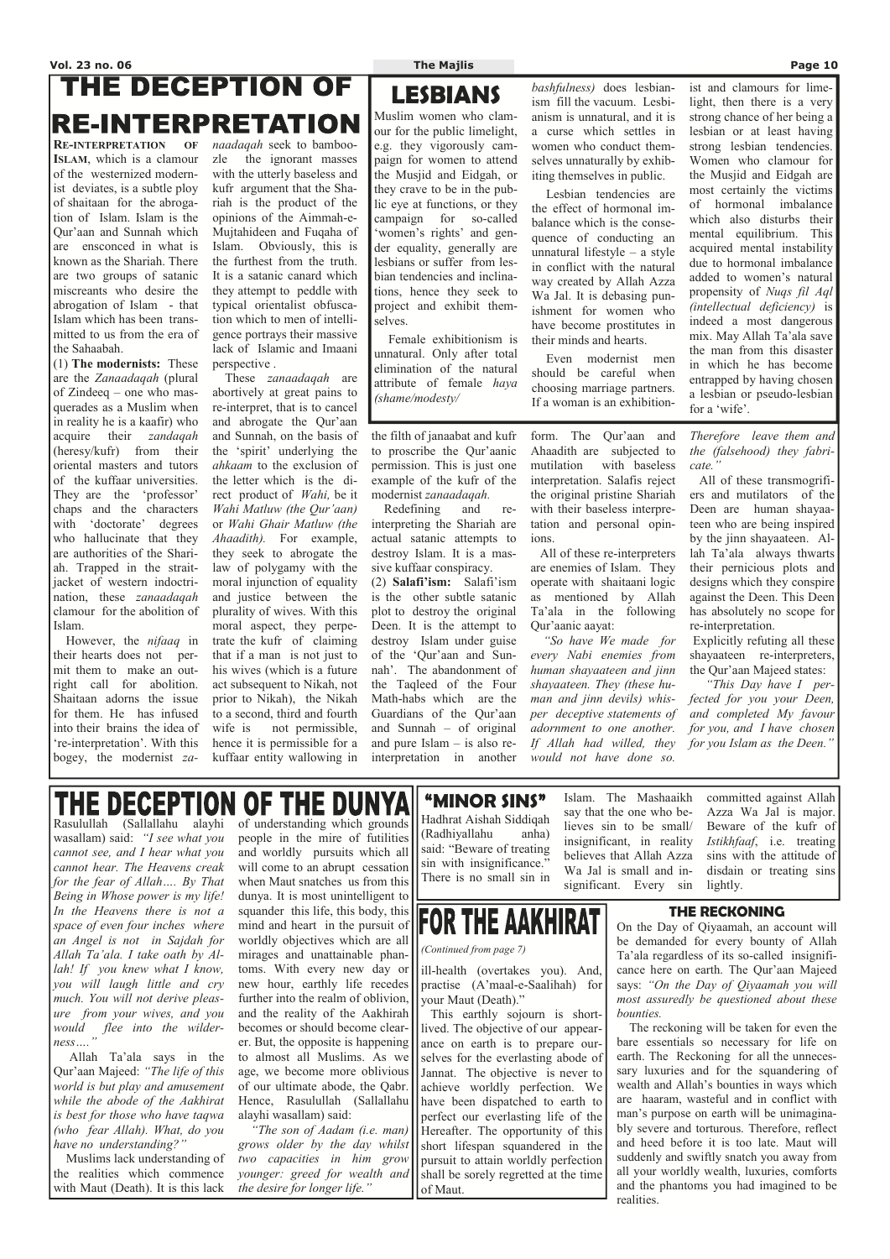# **THE DECEPTION OF RE-INTERPRETATION**

**RE-INTERPRETATION OF ISLAM**, which is a clamour of the westernized modernist deviates, is a subtle ploy of shaitaan for the abrogation of Islam. Islam is the Qur'aan and Sunnah which are ensconced in what is known as the Shariah. There are two groups of satanic miscreants who desire the abrogation of Islam - that Islam which has been transmitted to us from the era of the Sahaabah.

(1) **The modernists:** These are the *Zanaadaqah* (plural of Zindeeq – one who masquerades as a Muslim when in reality he is a kaafir) who acquire their *zandaqah*  (heresy/kufr) from their oriental masters and tutors of the kuffaar universities. They are the 'professor' chaps and the characters with 'doctorate' degrees who hallucinate that they are authorities of the Shariah. Trapped in the straitjacket of western indoctrination, these *zanaadaqah* clamour for the abolition of Islam.

 However, the *nifaaq* in their hearts does not permit them to make an outright call for abolition. Shaitaan adorns the issue for them. He has infused into their brains the idea of 're-interpretation'. With this bogey, the modernist *za-* *naadaqah* seek to bamboozle the ignorant masses with the utterly baseless and kufr argument that the Shariah is the product of the opinions of the Aimmah-e-Mujtahideen and Fuqaha of Islam. Obviously, this is the furthest from the truth. It is a satanic canard which they attempt to peddle with typical orientalist obfuscation which to men of intelligence portrays their massive lack of Islamic and Imaani perspective .

 These *zanaadaqah* are abortively at great pains to re-interpret, that is to cancel and abrogate the Qur'aan and Sunnah, on the basis of the 'spirit' underlying the *ahkaam* to the exclusion of the letter which is the direct product of *Wahi,* be it *Wahi Matluw (the Qur'aan)*  or *Wahi Ghair Matluw (the Ahaadith).* For example, they seek to abrogate the law of polygamy with the moral injunction of equality and justice between the plurality of wives. With this moral aspect, they perpetrate the kufr of claiming that if a man is not just to his wives (which is a future act subsequent to Nikah, not prior to Nikah), the Nikah to a second, third and fourth wife is not permissible, hence it is permissible for a kuffaar entity wallowing in

the filth of janaabat and kufr to proscribe the Qur'aanic permission. This is just one example of the kufr of the modernist *zanaadaqah.* 

 Redefining and reinterpreting the Shariah are actual satanic attempts to destroy Islam. It is a massive kuffaar conspiracy.

(2) **Salafi'ism:** Salafi'ism is the other subtle satanic plot to destroy the original Deen. It is the attempt to destroy Islam under guise of the 'Qur'aan and Sunnah'. The abandonment of the Taqleed of the Four Math-habs which are the Guardians of the Qur'aan and Sunnah – of original and pure Islam – is also reinterpretation in another form. The Qur'aan and Ahaadith are subjected to mutilation with baseless interpretation. Salafis reject the original pristine Shariah with their baseless interpretation and personal opinions.

 All of these re-interpreters are enemies of Islam. They operate with shaitaani logic as mentioned by Allah Ta'ala in the following Qur'aanic aayat:

of understanding which grounds people in the mire of futilities and worldly pursuits which all will come to an abrupt cessation when Maut snatches us from this dunya. It is most unintelligent to squander this life, this body, this mind and heart in the pursuit of worldly objectives which are all  $\left\| \cdot \right\|$ 

 *"So have We made for every Nabi enemies from human shayaateen and jinn shayaateen. They (these human and jinn devils) whisper deceptive statements of adornment to one another. If Allah had willed, they would not have done so.* 

*Therefore leave them and the (falsehood) they fabricate."* 

 All of these transmogrifiers and mutilators of the Deen are human shayaateen who are being inspired by the jinn shayaateen. Allah Ta'ala always thwarts their pernicious plots and designs which they conspire against the Deen. This Deen has absolutely no scope for re-interpretation.

Explicitly refuting all these shayaateen re-interpreters, the Qur'aan Majeed states:

 *"This Day have I perfected for you your Deen, and completed My favour for you, and I have chosen for you Islam as the Deen."*

### THE DECEPTION **OF THE DUNYA**

## **LESBIANS**

Muslim women who clamour for the public limelight, e.g. they vigorously campaign for women to attend the Musjid and Eidgah, or they crave to be in the public eye at functions, or they campaign for so-called 'women's rights' and gender equality, generally are lesbians or suffer from lesbian tendencies and inclinations, hence they seek to project and exhibit themselves.

 Female exhibitionism is unnatural. Only after total elimination of the natural attribute of female *haya (shame/modesty/*

*bashfulness)* does lesbianism fill the vacuum. Lesbianism is unnatural, and it is a curse which settles in women who conduct themselves unnaturally by exhibiting themselves in public.

 Lesbian tendencies are the effect of hormonal imbalance which is the consequence of conducting an unnatural lifestyle – a style in conflict with the natural way created by Allah Azza Wa Jal. It is debasing punishment for women who have become prostitutes in their minds and hearts.

 Even modernist men should be careful when choosing marriage partners. If a woman is an exhibitionist and clamours for limelight, then there is a very strong chance of her being a lesbian or at least having strong lesbian tendencies. Women who clamour for the Musjid and Eidgah are most certainly the victims of hormonal imbalance which also disturbs their mental equilibrium. This acquired mental instability due to hormonal imbalance added to women's natural propensity of *Nuqs fil Aql (intellectual deficiency)* is indeed a most dangerous mix. May Allah Ta'ala save the man from this disaster in which he has become entrapped by having chosen a lesbian or pseudo-lesbian for a 'wife'.

Rasulullah (Sallallahu alayhi wasallam) said: *"I see what you cannot see, and I hear what you cannot hear. The Heavens creak for the fear of Allah…. By That Being in Whose power is my life! In the Heavens there is not a space of even four inches where an Angel is not in Sajdah for* 

## **"MINOR SINS"**

Hadhrat Aishah Siddiqah (Radhiyallahu anha) said: "Beware of treating sin with insignificance." There is no small sin in

**FOR THE AAKHIRAT** 

Islam. The Mashaaikh say that the one who believes sin to be small/ insignificant, in reality believes that Allah Azza Wa Jal is small and insignificant. Every sin

| Allah Ta'ala. I take oath by Al-     | mirages and unattainable phan- $\prod$ (Continued from page 7) |                                                                           | Ta'ala regardless of its so-called insignifi- |
|--------------------------------------|----------------------------------------------------------------|---------------------------------------------------------------------------|-----------------------------------------------|
| <i>lah! If you knew what I know,</i> |                                                                | toms. With every new day or lill-health (overtakes you). And,             | cance here on earth. The Qur'aan Majeed       |
| vou will laugh little and cry        |                                                                | new hour, earthly life recedes    practise (A'maal-e-Saalihah) for        | says: "On the Day of Qiyaamah you will        |
| much. You will not derive pleas-     | further into the realm of oblivion, I your Maut (Death)."      |                                                                           | most assuredly be questioned about these      |
| ure from your wives, and you         |                                                                | and the reality of the Aakhirah   This earthly sojourn is short-          | <i>bounties.</i>                              |
| would flee into the wilder-          |                                                                | becomes or should become clear-    lived. The objective of our appear-    | The reckoning will be taken for even the      |
| $ness$ "                             |                                                                | er. But, the opposite is happening    ance on earth is to prepare our-    | bare essentials so necessary for life on      |
| Allah Ta'ala says in the             |                                                                | to almost all Muslims. As well selves for the everlasting abode of        | earth. The Reckoning for all the unneces-     |
| Qur'aan Majeed: "The life of this    |                                                                | age, we become more oblivious    Jannat. The objective is never to        | sary luxuries and for the squandering of      |
| world is but play and amusement      |                                                                | of our ultimate abode, the Qabr.    achieve worldly perfection. We        | wealth and Allah's bounties in ways which     |
| while the abode of the Aakhirat      |                                                                | Hence, Rasulullah (Sallallahu    have been dispatched to earth to         | are haaram, wasteful and in conflict with     |
| is best for those who have tagwa     |                                                                | alayhi wasallam) said:<br>   perfect our everlasting life of the          | man's purpose on earth will be unimagina-     |
| (who fear Allah). What, do you       |                                                                | "The son of Aadam (i.e. man) Hereafter. The opportunity of this           | bly severe and torturous. Therefore, reflect  |
| have no understanding?"              |                                                                | grows older by the day whilst   short lifespan squandered in the          | and heed before it is too late. Maut will     |
| Muslims lack understanding of        |                                                                | <i>two capacities in him grow</i>    pursuit to attain worldly perfection | suddenly and swiftly snatch you away from     |
| the realities which commence         |                                                                | younger: greed for wealth and    shall be sorely regretted at the time    | all your worldly wealth, luxuries, comforts   |
| with Maut (Death). It is this lack   | the desire for longer life."                                   | $\int$ of Maut.                                                           | and the phantoms you had imagined to be       |
|                                      |                                                                |                                                                           | realities.                                    |

committed against Allah Azza Wa Jal is major. Beware of the kufr of *Istikhfaaf*, i.e. treating sins with the attitude of disdain or treating sins lightly.

## **THE RECKONING**

On the Day of Qiyaamah, an account will be demanded for every bounty of Allah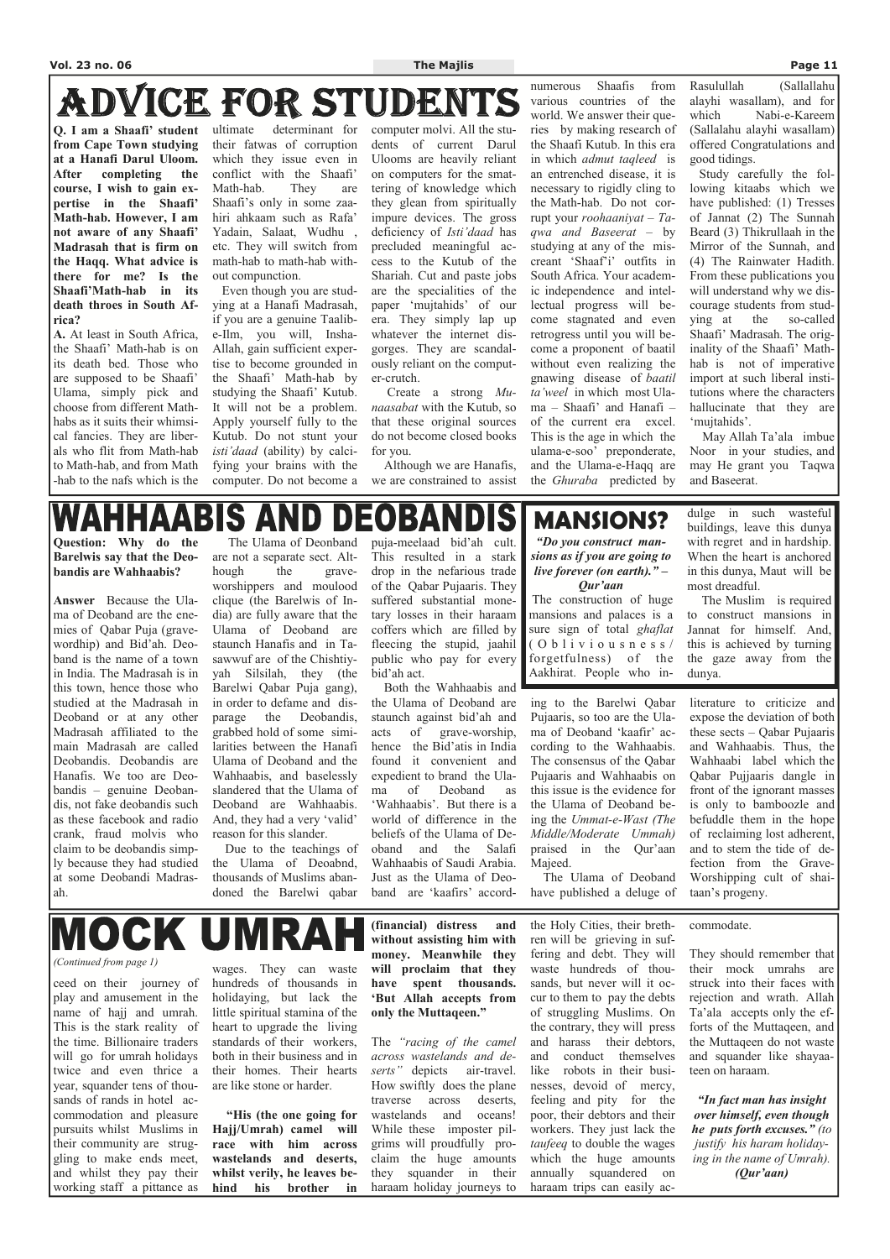# ADVICE FOR STUDENT

**Q. I am a Shaafi' student from Cape Town studying at a Hanafi Darul Uloom. After completing the course, I wish to gain expertise in the Shaafi' Math-hab. However, I am not aware of any Shaafi' Madrasah that is firm on the Haqq. What advice is there for me? Is the Shaafi'Math-hab in its death throes in South Africa?** 

**A.** At least in South Africa, the Shaafi' Math-hab is on its death bed. Those who are supposed to be Shaafi' Ulama, simply pick and choose from different Mathhabs as it suits their whimsical fancies. They are liberals who flit from Math-hab to Math-hab, and from Math -hab to the nafs which is the

ultimate determinant for their fatwas of corruption which they issue even in conflict with the Shaafi' Math-hab. They are Shaafi's only in some zaahiri ahkaam such as Rafa' Yadain, Salaat, Wudhu , etc. They will switch from math-hab to math-hab without compunction.

 Even though you are studying at a Hanafi Madrasah, if you are a genuine Taalibe-Ilm, you will, Insha-Allah, gain sufficient expertise to become grounded in the Shaafi' Math-hab by studying the Shaafi' Kutub. It will not be a problem. Apply yourself fully to the Kutub. Do not stunt your *isti'daad* (ability) by calcifying your brains with the computer. Do not become a computer molvi. All the students of current Darul Ulooms are heavily reliant on computers for the smattering of knowledge which they glean from spiritually impure devices. The gross deficiency of *Isti'daad* has precluded meaningful access to the Kutub of the Shariah. Cut and paste jobs are the specialities of the paper 'mujtahids' of our era. They simply lap up whatever the internet disgorges. They are scandalously reliant on the computer-crutch.

 Create a strong *Munaasabat* with the Kutub, so that these original sources do not become closed books for you.

 Although we are Hanafis, we are constrained to assist

numerous Shaafis from various countries of the world. We answer their queries by making research of the Shaafi Kutub. In this era in which *admut taqleed* is an entrenched disease, it is necessary to rigidly cling to the Math-hab. Do not corrupt your *roohaaniyat – Taqwa and Baseerat –* by studying at any of the miscreant 'Shaaf'i' outfits in South Africa. Your academic independence and intellectual progress will become stagnated and even retrogress until you will become a proponent of baatil without even realizing the gnawing disease of *baatil ta'weel* in which most Ulama – Shaafi' and Hanafi – of the current era excel. This is the age in which the ulama-e-soo' preponderate, and the Ulama-e-Haqq are the *Ghuraba* predicted by

Rasulullah (Sallallahu alayhi wasallam), and for which Nabi-e-Kareem (Sallalahu alayhi wasallam) offered Congratulations and good tidings.

 Study carefully the following kitaabs which we have published: (1) Tresses of Jannat (2) The Sunnah Beard (3) Thikrullaah in the Mirror of the Sunnah, and (4) The Rainwater Hadith. From these publications you will understand why we discourage students from studying at the so-called Shaafi' Madrasah. The originality of the Shaafi' Mathhab is not of imperative import at such liberal institutions where the characters hallucinate that they are 'mujtahids'.

The Muslim is required to construct mansions in Jannat for himself. And, this is achieved by turning the gaze away from the dunya.

 May Allah Ta'ala imbue Noor in your studies, and may He grant you Taqwa and Baseerat.

# EOBAND

**Question: Why do the Barelwis say that the Deobandis are Wahhaabis?** 

**Answer** Because the Ulama of Deoband are the enemies of Qabar Puja (gravewordhip) and Bid'ah. Deoband is the name of a town in India. The Madrasah is in this town, hence those who studied at the Madrasah in Deoband or at any other Madrasah affiliated to the main Madrasah are called Deobandis. Deobandis are Hanafis. We too are Deobandis – genuine Deobandis, not fake deobandis such as these facebook and radio crank, fraud molvis who claim to be deobandis simply because they had studied at some Deobandi Madrasah.

 The Ulama of Deonband are not a separate sect. Although the graveworshippers and moulood clique (the Barelwis of India) are fully aware that the Ulama of Deoband are staunch Hanafis and in Tasawwuf are of the Chishtiyyah Silsilah, they (the Barelwi Qabar Puja gang), in order to defame and disparage the Deobandis, grabbed hold of some similarities between the Hanafi Ulama of Deoband and the Wahhaabis, and baselessly slandered that the Ulama of Deoband are Wahhaabis. And, they had a very 'valid' reason for this slander.

 Due to the teachings of the Ulama of Deoabnd, thousands of Muslims abandoned the Barelwi qabar puja-meelaad bid'ah cult. This resulted in a stark drop in the nefarious trade of the Qabar Pujaaris. They suffered substantial monetary losses in their haraam coffers which are filled by fleecing the stupid, jaahil public who pay for every bid'ah act.

 Both the Wahhaabis and the Ulama of Deoband are staunch against bid'ah and acts of grave-worship, hence the Bid'atis in India found it convenient and expedient to brand the Ulama of Deoband as 'Wahhaabis'. But there is a world of difference in the beliefs of the Ulama of Deoband and the Salafi Wahhaabis of Saudi Arabia. Just as the Ulama of Deoband are 'kaafirs' accord-

ing to the Barelwi Qabar Pujaaris, so too are the Ulama of Deoband 'kaafir' according to the Wahhaabis. The consensus of the Qabar Pujaaris and Wahhaabis on this issue is the evidence for the Ulama of Deoband being the *Ummat-e-Wast (The Middle/Moderate Ummah)*  praised in the Qur'aan Majeed.

 The Ulama of Deoband have published a deluge of literature to criticize and expose the deviation of both these sects – Qabar Pujaaris and Wahhaabis. Thus, the Wahhaabi label which the Qabar Pujjaaris dangle in front of the ignorant masses is only to bamboozle and befuddle them in the hope of reclaiming lost adherent, and to stem the tide of defection from the Grave-Worshipping cult of shaitaan's progeny.

# **MANSIONS?**

*"Do you construct mansions as if you are going to live forever (on earth)." – Qur'aan* 

 The construction of huge mansions and palaces is a sure sign of total *ghaflat*   $($  O b  $1$  i v i o u s n e s s  $/$ forgetfulness) of the Aakhirat. People who in-

dulge in such wasteful buildings, leave this dunya with regret and in hardship. When the heart is anchored in this dunya, Maut will be most dreadful.

ceed on their journey of play and amusement in the name of hajj and umrah. This is the stark reality of the time. Billionaire traders will go for umrah holidays twice and even thrice a year, squander tens of thousands of rands in hotel accommodation and pleasure pursuits whilst Muslims in their community are struggling to make ends meet, and whilst they pay their working staff a pittance as

wages. They can waste hundreds of thousands in holidaying, but lack the little spiritual stamina of the heart to upgrade the living standards of their workers, both in their business and in their homes. Their hearts are like stone or harder.

**"His (the one going for Hajj/Umrah) camel will race with him across wastelands and deserts, whilst verily, he leaves behind his brother in** 

**(financial) distress and without assisting him with** 

**money. Meanwhile they will proclaim that they have spent thousands. 'But Allah accepts from only the Muttaqeen."** 

The *"racing of the camel across wastelands and deserts"* depicts air-travel. How swiftly does the plane traverse across deserts, wastelands and oceans! While these imposter pilgrims will proudfully proclaim the huge amounts they squander in their haraam holiday journeys to

the Holy Cities, their brethren will be grieving in suffering and debt. They will waste hundreds of thousands, but never will it occur to them to pay the debts of struggling Muslims. On the contrary, they will press and harass their debtors, and conduct themselves like robots in their businesses, devoid of mercy, feeling and pity for the poor, their debtors and their workers. They just lack the *taufeeq* to double the wages which the huge amounts annually squandered on haraam trips can easily ac-

commodate.

They should remember that their mock umrahs are struck into their faces with rejection and wrath. Allah Ta'ala accepts only the efforts of the Muttaqeen, and the Muttaqeen do not waste and squander like shayaateen on haraam.

*"In fact man has insight over himself, even though he puts forth excuses." (to justify his haram holidaying in the name of Umrah). (Qur'aan)* 

*(Continued from page 1)* 

MOCK UMRA